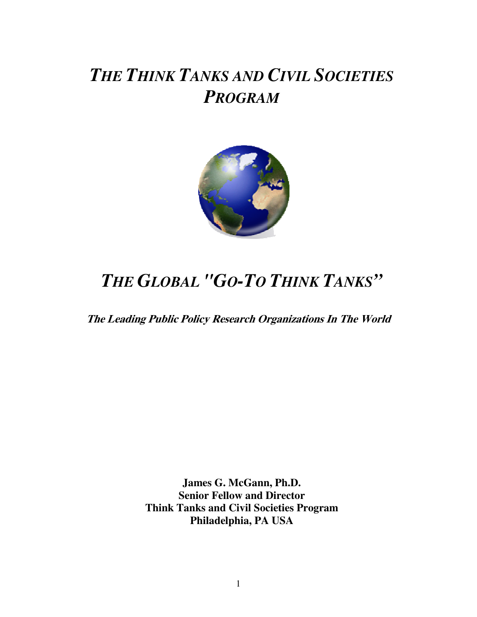# *THE THINK TANKS AND CIVIL SOCIETIES PROGRAM*



# *THE GLOBAL "GO-TO THINK TANKS"*

**The Leading Public Policy Research Organizations In The World**

**James G. McGann, Ph.D. Senior Fellow and Director Think Tanks and Civil Societies Program Philadelphia, PA USA**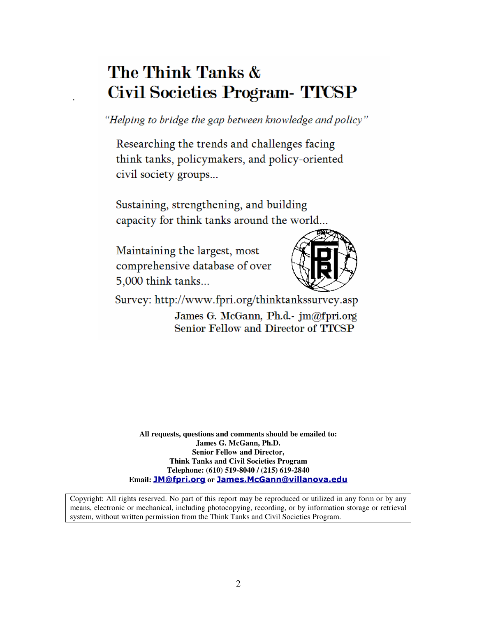# The Think Tanks & Civil Societies Program TICSP

"Helping to bridge the gap between knowledge and policy"

Researching the trends and challenges facing think tanks, policymakers, and policy-oriented civil society groups...

Sustaining, strengthening, and building capacity for think tanks around the world...

Maintaining the largest, most comprehensive database of over 5,000 think tanks...

.



Survey: http://www.fpri.org/thinktankssurvey.asp

James G. McGann, Ph.d.- jm@fpri.org Senior Fellow and Director of TTCSP

**All requests, questions and comments should be emailed to: James G. McGann, Ph.D. Senior Fellow and Director, Think Tanks and Civil Societies Program Telephone: (610) 519-8040 / (215) 619-2840** Email: <mark>JM@fpri.org</mark> or <mark>James.McGann@villanova.edu</mark>

Copyright: All rights reserved. No part of this report may be reproduced or utilized in any form or by any means, electronic or mechanical, including photocopying, recording, or by information storage or retrieval system, without written permission from the Think Tanks and Civil Societies Program.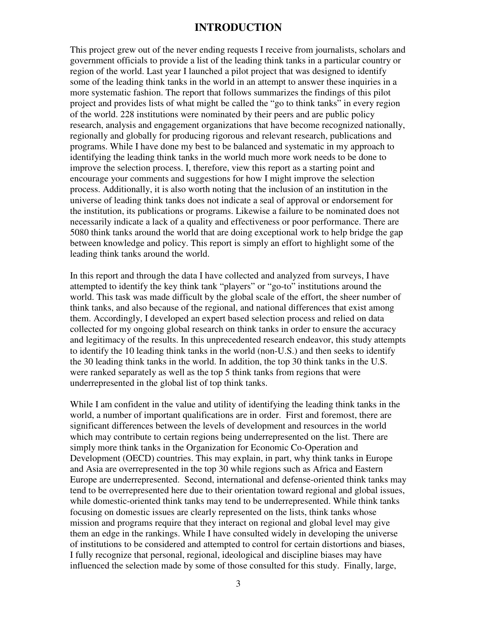#### **INTRODUCTION**

This project grew out of the never ending requests I receive from journalists, scholars and government officials to provide a list of the leading think tanks in a particular country or region of the world. Last year I launched a pilot project that was designed to identify some of the leading think tanks in the world in an attempt to answer these inquiries in a more systematic fashion. The report that follows summarizes the findings of this pilot project and provides lists of what might be called the "go to think tanks" in every region of the world. 228 institutions were nominated by their peers and are public policy research, analysis and engagement organizations that have become recognized nationally, regionally and globally for producing rigorous and relevant research, publications and programs. While I have done my best to be balanced and systematic in my approach to identifying the leading think tanks in the world much more work needs to be done to improve the selection process. I, therefore, view this report as a starting point and encourage your comments and suggestions for how I might improve the selection process. Additionally, it is also worth noting that the inclusion of an institution in the universe of leading think tanks does not indicate a seal of approval or endorsement for the institution, its publications or programs. Likewise a failure to be nominated does not necessarily indicate a lack of a quality and effectiveness or poor performance. There are 5080 think tanks around the world that are doing exceptional work to help bridge the gap between knowledge and policy. This report is simply an effort to highlight some of the leading think tanks around the world.

In this report and through the data I have collected and analyzed from surveys, I have attempted to identify the key think tank "players" or "go-to" institutions around the world. This task was made difficult by the global scale of the effort, the sheer number of think tanks, and also because of the regional, and national differences that exist among them. Accordingly, I developed an expert based selection process and relied on data collected for my ongoing global research on think tanks in order to ensure the accuracy and legitimacy of the results. In this unprecedented research endeavor, this study attempts to identify the 10 leading think tanks in the world (non-U.S.) and then seeks to identify the 30 leading think tanks in the world. In addition, the top 30 think tanks in the U.S. were ranked separately as well as the top 5 think tanks from regions that were underrepresented in the global list of top think tanks.

While I am confident in the value and utility of identifying the leading think tanks in the world, a number of important qualifications are in order. First and foremost, there are significant differences between the levels of development and resources in the world which may contribute to certain regions being underrepresented on the list. There are simply more think tanks in the Organization for Economic Co-Operation and Development (OECD) countries. This may explain, in part, why think tanks in Europe and Asia are overrepresented in the top 30 while regions such as Africa and Eastern Europe are underrepresented. Second, international and defense-oriented think tanks may tend to be overrepresented here due to their orientation toward regional and global issues, while domestic-oriented think tanks may tend to be underrepresented. While think tanks focusing on domestic issues are clearly represented on the lists, think tanks whose mission and programs require that they interact on regional and global level may give them an edge in the rankings. While I have consulted widely in developing the universe of institutions to be considered and attempted to control for certain distortions and biases, I fully recognize that personal, regional, ideological and discipline biases may have influenced the selection made by some of those consulted for this study. Finally, large,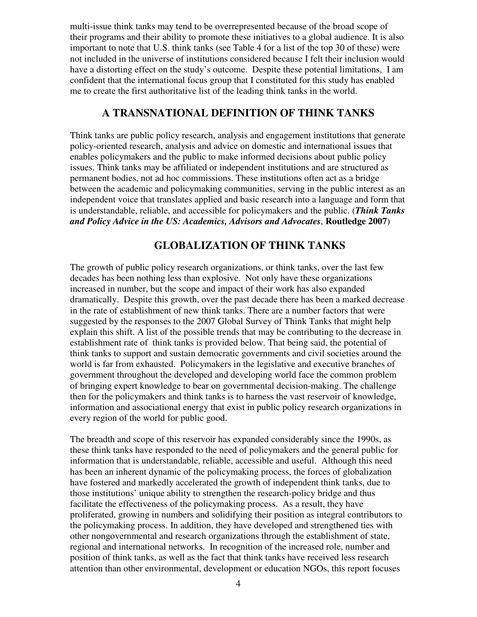multi-issue think tanks may tend to be overrepresented because of the broad scope of their programs and their ability to promote these initiatives to a global audience. It is also important to note that U.S. think tanks (see Table 4 for a list of the top 30 of these) were not included in the universe of institutions considered because I felt their inclusion would have a distorting effect on the study's outcome. Despite these potential limitations, I am confident that the international focus group that I constituted for this study has enabled me to create the first authoritative list of the leading think tanks in the world.

### **A TRANSNATIONAL DEFINITION OF THINK TANKS**

Think tanks are public policy research, analysis and engagement institutions that generate policy-oriented research, analysis and advice on domestic and international issues that enables policymakers and the public to make informed decisions about public policy issues. Think tanks may be affiliated or independent institutions and are structured as permanent bodies, not ad hoc commissions. These institutions often act as a bridge between the academic and policymaking communities, serving in the public interest as an independent voice that translates applied and basic research into a language and form that is understandable, reliable, and accessible for policymakers and the public. (*Think Tanks and Policy Advice in the US: Academics, Advisors and Advocates*, **Routledge 2007**)

### **GLOBALIZATION OF THINK TANKS**

The growth of public policy research organizations, or think tanks, over the last few decades has been nothing less than explosive. Not only have these organizations increased in number, but the scope and impact of their work has also expanded dramatically. Despite this growth, over the past decade there has been a marked decrease in the rate of establishment of new think tanks. There are a number factors that were suggested by the responses to the 2007 Global Survey of Think Tanks that might help explain this shift. A list of the possible trends that may be contributing to the decrease in establishment rate of think tanks is provided below. That being said, the potential of think tanks to support and sustain democratic governments and civil societies around the world is far from exhausted. Policymakers in the legislative and executive branches of government throughout the developed and developing world face the common problem of bringing expert knowledge to bear on governmental decision-making. The challenge then for the policymakers and think tanks is to harness the vast reservoir of knowledge, information and associational energy that exist in public policy research organizations in every region of the world for public good.

The breadth and scope of this reservoir has expanded considerably since the 1990s, as these think tanks have responded to the need of policymakers and the general public for information that is understandable, reliable, accessible and useful. Although this need has been an inherent dynamic of the policymaking process, the forces of globalization have fostered and markedly accelerated the growth of independent think tanks, due to those institutions' unique ability to strengthen the research-policy bridge and thus facilitate the effectiveness of the policymaking process. As a result, they have proliferated, growing in numbers and solidifying their position as integral contributors to the policymaking process. In addition, they have developed and strengthened ties with other nongovernmental and research organizations through the establishment of state, regional and international networks. In recognition of the increased role, number and position of think tanks, as well as the fact that think tanks have received less research attention than other environmental, development or education NGOs, this report focuses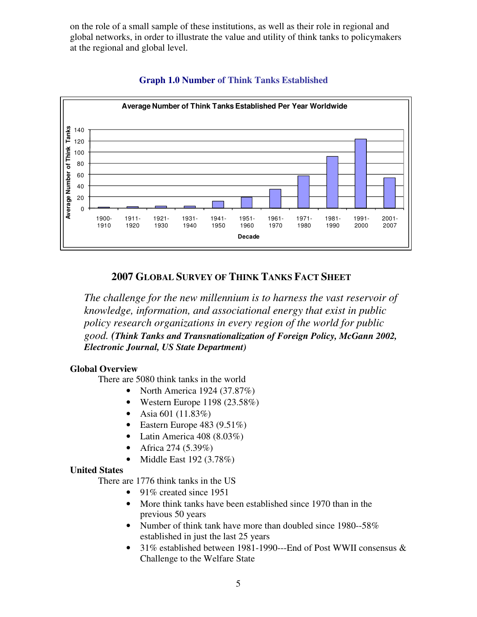on the role of a small sample of these institutions, as well as their role in regional and global networks, in order to illustrate the value and utility of think tanks to policymakers at the regional and global level.



#### **Graph 1.0 Number of Think Tanks Established**

#### **2007 GLOBAL SURVEY OF THINK TANKS FACT SHEET**

*The challenge for the new millennium is to harness the vast reservoir of knowledge, information, and associational energy that exist in public policy research organizations in every region of the world for public good. (Think Tanks and Transnationalization of Foreign Policy, McGann 2002, Electronic Journal, US State Department)*

#### **Global Overview**

There are 5080 think tanks in the world

- North America 1924 (37.87%)
- Western Europe  $1198 (23.58%)$
- Asia 601 (11.83%)
- Eastern Europe  $483 (9.51\%)$
- Latin America 408 (8.03%)
- Africa 274  $(5.39\%)$
- Middle East 192 (3.78%)

#### **United States**

There are 1776 think tanks in the US

- 91\% created since 1951
- More think tanks have been established since 1970 than in the previous 50 years
- Number of think tank have more than doubled since 1980--58% established in just the last 25 years
- 31% established between 1981-1990---End of Post WWII consensus & Challenge to the Welfare State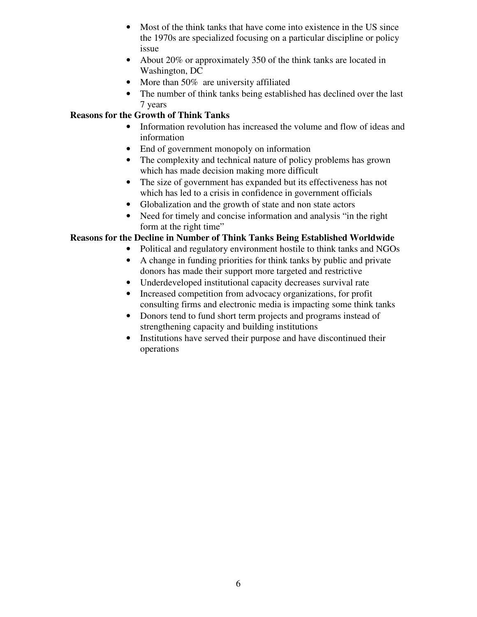- Most of the think tanks that have come into existence in the US since the 1970s are specialized focusing on a particular discipline or policy issue
- About 20% or approximately 350 of the think tanks are located in Washington, DC
- More than 50% are university affiliated
- The number of think tanks being established has declined over the last 7 years

#### **Reasons for the Growth of Think Tanks**

- Information revolution has increased the volume and flow of ideas and information
- End of government monopoly on information
- The complexity and technical nature of policy problems has grown which has made decision making more difficult
- The size of government has expanded but its effectiveness has not which has led to a crisis in confidence in government officials
- Globalization and the growth of state and non state actors
- Need for timely and concise information and analysis "in the right" form at the right time"

#### **Reasons for the Decline in Number of Think Tanks Being Established Worldwide**

- Political and regulatory environment hostile to think tanks and NGOs
- A change in funding priorities for think tanks by public and private donors has made their support more targeted and restrictive
- Underdeveloped institutional capacity decreases survival rate
- Increased competition from advocacy organizations, for profit consulting firms and electronic media is impacting some think tanks
- Donors tend to fund short term projects and programs instead of strengthening capacity and building institutions
- Institutions have served their purpose and have discontinued their operations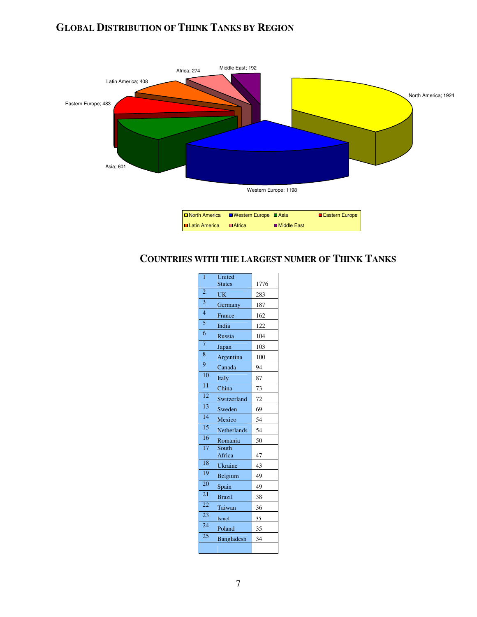### **GLOBAL DISTRIBUTION OF THINK TANKS BY REGION**



### **COUNTRIES WITH THE LARGEST NUMER OF THINK TANKS**

| 1               | United          |      |
|-----------------|-----------------|------|
|                 | <b>States</b>   | 1776 |
| $\overline{2}$  | UK              | 283  |
| $\overline{3}$  | Germany         | 187  |
| $\overline{4}$  | France          | 162  |
| $\overline{5}$  | India           | 122  |
| $\overline{6}$  | Russia          | 104  |
| $\overline{7}$  | Japan           | 103  |
| $\overline{8}$  | Argentina       | 100  |
| $\overline{9}$  | Canada          | 94   |
| 10              | Italy           | 87   |
| $\overline{11}$ | China           | 73   |
| $\overline{12}$ | Switzerland     | 72   |
| 13              | Sweden          | 69   |
| $\overline{14}$ | Mexico          | 54   |
| 15              | Netherlands     | 54   |
| $\overline{16}$ | Romania         | 50   |
| $\overline{17}$ | South<br>Africa | 47   |
| 18              | Ukraine         | 43   |
| 19              | Belgium         | 49   |
| $\overline{20}$ | Spain           | 49   |
| 21              | <b>Brazil</b>   | 38   |
| 22              | Taiwan          | 36   |
| $\overline{23}$ | <b>Israel</b>   | 35   |
| 24              | Poland          | 35   |
| $\overline{25}$ | Bangladesh      | 34   |
|                 |                 |      |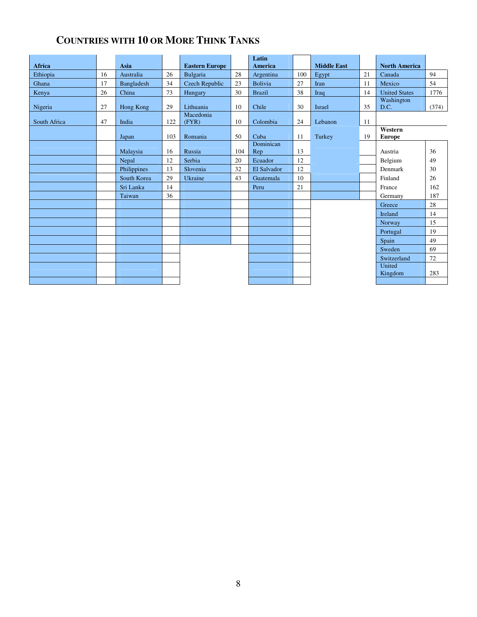### **COUNTRIES WITH 10 OR MORE THINK TANKS**

| Africa       |    | <b>Asia</b> |     | <b>Eastern Europe</b> |     | Latin<br><b>America</b> |     | <b>Middle East</b> |    | <b>North America</b>     |       |
|--------------|----|-------------|-----|-----------------------|-----|-------------------------|-----|--------------------|----|--------------------------|-------|
| Ethiopia     | 16 | Australia   | 26  | Bulgaria              | 28  | Argentina               | 100 | Egypt              | 21 | Canada                   | 94    |
| Ghana        | 17 | Bangladesh  | 34  | <b>Czech Republic</b> | 23  | Bolivia                 | 27  | Iran               | 11 | Mexico                   | 54    |
| Kenya        | 26 | China       | 73  | Hungary               | 30  | <b>Brazil</b>           | 38  | Iraq               | 14 | <b>United States</b>     | 1776  |
| Nigeria      | 27 | Hong Kong   | 29  | Lithuania             | 10  | Chile                   | 30  | Israel             | 35 | Washington<br>D.C.       | (374) |
| South Africa | 47 | India       | 122 | Macedonia<br>(FYR)    | 10  | Colombia                | 24  | Lebanon            | 11 |                          |       |
|              |    | Japan       | 103 | Romania               | 50  | Cuba                    | 11  | Turkey             | 19 | Western<br><b>Europe</b> |       |
|              |    | Malaysia    | 16  | Russia                | 104 | Dominican<br>Rep        | 13  |                    |    | Austria                  | 36    |
|              |    | Nepal       | 12  | Serbia                | 20  | Ecuador                 | 12  |                    |    | Belgium                  | 49    |
|              |    | Philippines | 13  | Slovenia              | 32  | El Salvador             | 12  |                    |    | Denmark                  | 30    |
|              |    | South Korea | 29  | Ukraine               | 43  | Guatemala               | 10  |                    |    | Finland                  | 26    |
|              |    | Sri Lanka   | 14  |                       |     | Peru                    | 21  |                    |    | France                   | 162   |
|              |    | Taiwan      | 36  |                       |     |                         |     |                    |    | Germany                  | 187   |
|              |    |             |     |                       |     |                         |     |                    |    | Greece                   | 28    |
|              |    |             |     |                       |     |                         |     |                    |    | Ireland                  | 14    |
|              |    |             |     |                       |     |                         |     |                    |    | Norway                   | 15    |
|              |    |             |     |                       |     |                         |     |                    |    | Portugal                 | 19    |
|              |    |             |     |                       |     |                         |     |                    |    | Spain                    | 49    |
|              |    |             |     |                       |     |                         |     |                    |    | Sweden                   | 69    |
|              |    |             |     |                       |     |                         |     |                    |    | Switzerland              | 72    |
|              |    |             |     |                       |     |                         |     |                    |    | United<br>Kingdom        | 283   |
|              |    |             |     |                       |     |                         |     |                    |    |                          |       |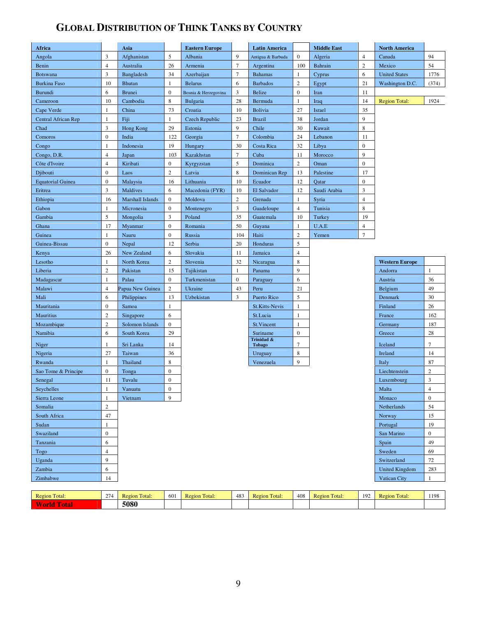## **GLOBAL DISTRIBUTION OF THINK TANKS BY COUNTRY**

| 3<br>9<br>$\mathbf{0}$<br>94<br>Afghanistan<br>5<br>Albania<br>$\overline{4}$<br>Angola<br>Antigua & Barbuda<br>Algeria<br>Canada<br>$\overline{7}$<br>$\overline{c}$<br>54<br>$\overline{4}$<br>26<br>100<br>Mexico<br>Benin<br>Australia<br>Armenia<br>Argentina<br><b>Bahrain</b><br>3<br>$\overline{7}$<br>Bangladesh<br>34<br>$\mathbf{1}$<br>6<br><b>United States</b><br>Azerbaijan<br><b>Bahamas</b><br>Cyprus<br><b>Botswana</b><br>$\overline{2}$<br><b>Burkina Faso</b><br>10<br>6<br><b>Barbados</b><br>21<br><b>Bhutan</b><br>1<br><b>Belarus</b><br>Egypt<br>Washington D.C.<br>6<br>$\mathbf{0}$<br>3<br>$\mathbf{0}$<br><b>Brunei</b><br><b>Belize</b><br>11<br>Burundi<br>Iran<br>Bosnia & Herzegovina<br>10<br>Cambodia<br>8<br>28<br>Cameroon<br><b>Bulgaria</b><br>Bermuda<br>1<br>14<br><b>Region Total:</b><br>Iraq<br>China<br>73<br>Croatia<br>10<br><b>Bolivia</b><br>27<br>Israel<br>35<br>Cape Verde<br>1<br>9<br>$\mathbf{1}$<br>Fiji<br>23<br><b>Brazil</b><br>38<br>Central African Rep<br>1<br><b>Czech Republic</b><br>Jordan<br>3<br>9<br>8<br>29<br>Chile<br>30<br>Kuwait<br>Chad<br>Hong Kong<br>Estonia<br>$\overline{7}$<br>$\boldsymbol{0}$<br>24<br>India<br>122<br>Georgia<br>Colombia<br>11<br>Comoros<br>Lebanon<br>$\mathbf{1}$<br>19<br>30<br>32<br>$\overline{0}$<br>Indonesia<br>Hungary<br>Costa Rica<br>Libya<br>Congo<br>$\overline{4}$<br>$\tau$<br>9<br>103<br>Cuba<br>11<br>Congo, D.R.<br>Japan<br>Kazakhstan<br>Morocco<br>5<br>$\overline{2}$<br>$\overline{4}$<br>$\boldsymbol{0}$<br>$\boldsymbol{0}$<br>Côte d'Ivoire<br>Kiribati<br>Kyrgyzstan<br>Dominica<br>Oman<br>$\mathbf{0}$<br>$\sqrt{2}$<br>8<br>13<br>Djibouti<br>Laos<br>Latvia<br>Dominican Rep<br>Palestine<br>17<br>$\boldsymbol{0}$<br>10<br>12<br>0<br><b>Equatorial Guinea</b><br>Malaysia<br>16<br>Lithuania<br>Ecuador<br>Qatar<br>$\overline{3}$<br>3<br>Maldives<br>6<br>El Salvador<br>12<br>Eritrea<br>Macedonia (FYR)<br>10<br>Saudi Arabia<br>Ethiopia<br>$\boldsymbol{0}$<br>Moldova<br>2<br>16<br>Marshall Islands<br>Grenada<br>1<br>Syria<br>4<br>3<br>8<br>Gabon<br>$\mathbf{1}$<br>Micronesia<br>$\boldsymbol{0}$<br>Guadeloupe<br>$\overline{4}$<br>Tunisia<br>Montenegro<br>5<br>3<br>35<br>10<br>19<br>Gambia<br>Mongolia<br>Poland<br>Guatemala<br>Turkey<br>17<br>$\mathbf{0}$<br>Romania<br>50<br>$\mathbf{1}$<br>U.A.E<br>$\overline{4}$<br>Ghana<br>Myanmar<br>Guyana<br>$\overline{c}$<br>$\boldsymbol{7}$<br>$\mathbf{1}$<br>$\boldsymbol{0}$<br>Nauru<br>Russia<br>104<br>Haiti<br>Yemen<br>Guinea<br>$\boldsymbol{0}$<br>20<br>5<br>Nepal<br>12<br>Serbia<br>Honduras<br>Guinea-Bissau<br>26<br>New Zealand<br>6<br>Slovakia<br>11<br>$\overline{4}$<br>Kenya<br>Jamaica<br>$\overline{2}$<br>$\,$ 8 $\,$<br>$\mathbf{1}$<br>32<br>North Korea<br><b>Western Europe</b><br>Lesotho<br>Slovenia<br>Nicaragua<br>2<br>9<br>Tajikistan<br>$\mathbf{1}$<br>$\mathbf{1}$<br>Liberia<br>Pakistan<br>15<br>Panama<br>Andorra<br>$\mathbf{1}$<br>Palau<br>$\mathbf{0}$<br>Turkmenistan<br>$\boldsymbol{0}$<br>6<br>36<br>Madagascar<br>Paraguay<br>Austria<br>$\overline{4}$<br>$\overline{c}$<br>21<br>Papua New Guinea<br>Ukraine<br>43<br>Belgium<br>49<br>Malawi<br>Peru<br>Mali<br>Uzbekistan<br>3<br>Puerto Rico<br>5<br>30<br>6<br>Philippines<br>13<br>Denmark<br>$\boldsymbol{0}$<br>26<br>Mauritania<br>Samoa<br>St.Kitts-Nevis<br>1<br>Finland<br>1<br>$\sqrt{2}$<br>6<br>$\mathbf{1}$<br>St.Lucia<br><b>Mauritius</b><br>Singapore<br>France<br>2<br>Solomon Islands<br>$\mathbf{0}$<br>$\mathbf{1}$<br>Mozambique<br>St. Vincent<br>Germany<br>6<br>$\boldsymbol{0}$<br>South Korea<br>Suriname<br>28<br>Namibia<br>29<br>Greece<br>Trinidad &<br>$\overline{7}$<br>$\tau$<br>Sri Lanka<br>Iceland<br>Niger<br>1<br>14<br><b>Tobago</b><br>8<br>Nigeria<br>27<br>Taiwan<br>Ireland<br>14<br>36<br>Uruguay<br>9<br>$\mathbf{1}$<br>8<br>87<br>Thailand<br>Italy<br>Rwanda<br>Venezuela<br>$\boldsymbol{0}$<br>$\mathbf{0}$<br>$\overline{c}$<br>Tonga<br>Sao Tome & Principe<br>Liechtenstein | Africa  | Asia         |                  | <b>Eastern Europe</b> | <b>Latin America</b> | <b>Middle East</b> | <b>North America</b> |       |
|--------------------------------------------------------------------------------------------------------------------------------------------------------------------------------------------------------------------------------------------------------------------------------------------------------------------------------------------------------------------------------------------------------------------------------------------------------------------------------------------------------------------------------------------------------------------------------------------------------------------------------------------------------------------------------------------------------------------------------------------------------------------------------------------------------------------------------------------------------------------------------------------------------------------------------------------------------------------------------------------------------------------------------------------------------------------------------------------------------------------------------------------------------------------------------------------------------------------------------------------------------------------------------------------------------------------------------------------------------------------------------------------------------------------------------------------------------------------------------------------------------------------------------------------------------------------------------------------------------------------------------------------------------------------------------------------------------------------------------------------------------------------------------------------------------------------------------------------------------------------------------------------------------------------------------------------------------------------------------------------------------------------------------------------------------------------------------------------------------------------------------------------------------------------------------------------------------------------------------------------------------------------------------------------------------------------------------------------------------------------------------------------------------------------------------------------------------------------------------------------------------------------------------------------------------------------------------------------------------------------------------------------------------------------------------------------------------------------------------------------------------------------------------------------------------------------------------------------------------------------------------------------------------------------------------------------------------------------------------------------------------------------------------------------------------------------------------------------------------------------------------------------------------------------------------------------------------------------------------------------------------------------------------------------------------------------------------------------------------------------------------------------------------------------------------------------------------------------------------------------------------------------------------------------------------------------------------------------------------------------------------------------------------------------------------------------------------------------------------------------------------------------------------------------------------------------------------------------------------------------------------------------------------------------------------------------------------------------------------------------------------------------------------------------------------|---------|--------------|------------------|-----------------------|----------------------|--------------------|----------------------|-------|
|                                                                                                                                                                                                                                                                                                                                                                                                                                                                                                                                                                                                                                                                                                                                                                                                                                                                                                                                                                                                                                                                                                                                                                                                                                                                                                                                                                                                                                                                                                                                                                                                                                                                                                                                                                                                                                                                                                                                                                                                                                                                                                                                                                                                                                                                                                                                                                                                                                                                                                                                                                                                                                                                                                                                                                                                                                                                                                                                                                                                                                                                                                                                                                                                                                                                                                                                                                                                                                                                                                                                                                                                                                                                                                                                                                                                                                                                                                                                                                                                                                                        |         |              |                  |                       |                      |                    |                      |       |
|                                                                                                                                                                                                                                                                                                                                                                                                                                                                                                                                                                                                                                                                                                                                                                                                                                                                                                                                                                                                                                                                                                                                                                                                                                                                                                                                                                                                                                                                                                                                                                                                                                                                                                                                                                                                                                                                                                                                                                                                                                                                                                                                                                                                                                                                                                                                                                                                                                                                                                                                                                                                                                                                                                                                                                                                                                                                                                                                                                                                                                                                                                                                                                                                                                                                                                                                                                                                                                                                                                                                                                                                                                                                                                                                                                                                                                                                                                                                                                                                                                                        |         |              |                  |                       |                      |                    |                      |       |
|                                                                                                                                                                                                                                                                                                                                                                                                                                                                                                                                                                                                                                                                                                                                                                                                                                                                                                                                                                                                                                                                                                                                                                                                                                                                                                                                                                                                                                                                                                                                                                                                                                                                                                                                                                                                                                                                                                                                                                                                                                                                                                                                                                                                                                                                                                                                                                                                                                                                                                                                                                                                                                                                                                                                                                                                                                                                                                                                                                                                                                                                                                                                                                                                                                                                                                                                                                                                                                                                                                                                                                                                                                                                                                                                                                                                                                                                                                                                                                                                                                                        |         |              |                  |                       |                      |                    |                      | 1776  |
|                                                                                                                                                                                                                                                                                                                                                                                                                                                                                                                                                                                                                                                                                                                                                                                                                                                                                                                                                                                                                                                                                                                                                                                                                                                                                                                                                                                                                                                                                                                                                                                                                                                                                                                                                                                                                                                                                                                                                                                                                                                                                                                                                                                                                                                                                                                                                                                                                                                                                                                                                                                                                                                                                                                                                                                                                                                                                                                                                                                                                                                                                                                                                                                                                                                                                                                                                                                                                                                                                                                                                                                                                                                                                                                                                                                                                                                                                                                                                                                                                                                        |         |              |                  |                       |                      |                    |                      | (374) |
|                                                                                                                                                                                                                                                                                                                                                                                                                                                                                                                                                                                                                                                                                                                                                                                                                                                                                                                                                                                                                                                                                                                                                                                                                                                                                                                                                                                                                                                                                                                                                                                                                                                                                                                                                                                                                                                                                                                                                                                                                                                                                                                                                                                                                                                                                                                                                                                                                                                                                                                                                                                                                                                                                                                                                                                                                                                                                                                                                                                                                                                                                                                                                                                                                                                                                                                                                                                                                                                                                                                                                                                                                                                                                                                                                                                                                                                                                                                                                                                                                                                        |         |              |                  |                       |                      |                    |                      |       |
|                                                                                                                                                                                                                                                                                                                                                                                                                                                                                                                                                                                                                                                                                                                                                                                                                                                                                                                                                                                                                                                                                                                                                                                                                                                                                                                                                                                                                                                                                                                                                                                                                                                                                                                                                                                                                                                                                                                                                                                                                                                                                                                                                                                                                                                                                                                                                                                                                                                                                                                                                                                                                                                                                                                                                                                                                                                                                                                                                                                                                                                                                                                                                                                                                                                                                                                                                                                                                                                                                                                                                                                                                                                                                                                                                                                                                                                                                                                                                                                                                                                        |         |              |                  |                       |                      |                    |                      | 1924  |
|                                                                                                                                                                                                                                                                                                                                                                                                                                                                                                                                                                                                                                                                                                                                                                                                                                                                                                                                                                                                                                                                                                                                                                                                                                                                                                                                                                                                                                                                                                                                                                                                                                                                                                                                                                                                                                                                                                                                                                                                                                                                                                                                                                                                                                                                                                                                                                                                                                                                                                                                                                                                                                                                                                                                                                                                                                                                                                                                                                                                                                                                                                                                                                                                                                                                                                                                                                                                                                                                                                                                                                                                                                                                                                                                                                                                                                                                                                                                                                                                                                                        |         |              |                  |                       |                      |                    |                      |       |
|                                                                                                                                                                                                                                                                                                                                                                                                                                                                                                                                                                                                                                                                                                                                                                                                                                                                                                                                                                                                                                                                                                                                                                                                                                                                                                                                                                                                                                                                                                                                                                                                                                                                                                                                                                                                                                                                                                                                                                                                                                                                                                                                                                                                                                                                                                                                                                                                                                                                                                                                                                                                                                                                                                                                                                                                                                                                                                                                                                                                                                                                                                                                                                                                                                                                                                                                                                                                                                                                                                                                                                                                                                                                                                                                                                                                                                                                                                                                                                                                                                                        |         |              |                  |                       |                      |                    |                      |       |
|                                                                                                                                                                                                                                                                                                                                                                                                                                                                                                                                                                                                                                                                                                                                                                                                                                                                                                                                                                                                                                                                                                                                                                                                                                                                                                                                                                                                                                                                                                                                                                                                                                                                                                                                                                                                                                                                                                                                                                                                                                                                                                                                                                                                                                                                                                                                                                                                                                                                                                                                                                                                                                                                                                                                                                                                                                                                                                                                                                                                                                                                                                                                                                                                                                                                                                                                                                                                                                                                                                                                                                                                                                                                                                                                                                                                                                                                                                                                                                                                                                                        |         |              |                  |                       |                      |                    |                      |       |
|                                                                                                                                                                                                                                                                                                                                                                                                                                                                                                                                                                                                                                                                                                                                                                                                                                                                                                                                                                                                                                                                                                                                                                                                                                                                                                                                                                                                                                                                                                                                                                                                                                                                                                                                                                                                                                                                                                                                                                                                                                                                                                                                                                                                                                                                                                                                                                                                                                                                                                                                                                                                                                                                                                                                                                                                                                                                                                                                                                                                                                                                                                                                                                                                                                                                                                                                                                                                                                                                                                                                                                                                                                                                                                                                                                                                                                                                                                                                                                                                                                                        |         |              |                  |                       |                      |                    |                      |       |
|                                                                                                                                                                                                                                                                                                                                                                                                                                                                                                                                                                                                                                                                                                                                                                                                                                                                                                                                                                                                                                                                                                                                                                                                                                                                                                                                                                                                                                                                                                                                                                                                                                                                                                                                                                                                                                                                                                                                                                                                                                                                                                                                                                                                                                                                                                                                                                                                                                                                                                                                                                                                                                                                                                                                                                                                                                                                                                                                                                                                                                                                                                                                                                                                                                                                                                                                                                                                                                                                                                                                                                                                                                                                                                                                                                                                                                                                                                                                                                                                                                                        |         |              |                  |                       |                      |                    |                      |       |
|                                                                                                                                                                                                                                                                                                                                                                                                                                                                                                                                                                                                                                                                                                                                                                                                                                                                                                                                                                                                                                                                                                                                                                                                                                                                                                                                                                                                                                                                                                                                                                                                                                                                                                                                                                                                                                                                                                                                                                                                                                                                                                                                                                                                                                                                                                                                                                                                                                                                                                                                                                                                                                                                                                                                                                                                                                                                                                                                                                                                                                                                                                                                                                                                                                                                                                                                                                                                                                                                                                                                                                                                                                                                                                                                                                                                                                                                                                                                                                                                                                                        |         |              |                  |                       |                      |                    |                      |       |
|                                                                                                                                                                                                                                                                                                                                                                                                                                                                                                                                                                                                                                                                                                                                                                                                                                                                                                                                                                                                                                                                                                                                                                                                                                                                                                                                                                                                                                                                                                                                                                                                                                                                                                                                                                                                                                                                                                                                                                                                                                                                                                                                                                                                                                                                                                                                                                                                                                                                                                                                                                                                                                                                                                                                                                                                                                                                                                                                                                                                                                                                                                                                                                                                                                                                                                                                                                                                                                                                                                                                                                                                                                                                                                                                                                                                                                                                                                                                                                                                                                                        |         |              |                  |                       |                      |                    |                      |       |
|                                                                                                                                                                                                                                                                                                                                                                                                                                                                                                                                                                                                                                                                                                                                                                                                                                                                                                                                                                                                                                                                                                                                                                                                                                                                                                                                                                                                                                                                                                                                                                                                                                                                                                                                                                                                                                                                                                                                                                                                                                                                                                                                                                                                                                                                                                                                                                                                                                                                                                                                                                                                                                                                                                                                                                                                                                                                                                                                                                                                                                                                                                                                                                                                                                                                                                                                                                                                                                                                                                                                                                                                                                                                                                                                                                                                                                                                                                                                                                                                                                                        |         |              |                  |                       |                      |                    |                      |       |
|                                                                                                                                                                                                                                                                                                                                                                                                                                                                                                                                                                                                                                                                                                                                                                                                                                                                                                                                                                                                                                                                                                                                                                                                                                                                                                                                                                                                                                                                                                                                                                                                                                                                                                                                                                                                                                                                                                                                                                                                                                                                                                                                                                                                                                                                                                                                                                                                                                                                                                                                                                                                                                                                                                                                                                                                                                                                                                                                                                                                                                                                                                                                                                                                                                                                                                                                                                                                                                                                                                                                                                                                                                                                                                                                                                                                                                                                                                                                                                                                                                                        |         |              |                  |                       |                      |                    |                      |       |
|                                                                                                                                                                                                                                                                                                                                                                                                                                                                                                                                                                                                                                                                                                                                                                                                                                                                                                                                                                                                                                                                                                                                                                                                                                                                                                                                                                                                                                                                                                                                                                                                                                                                                                                                                                                                                                                                                                                                                                                                                                                                                                                                                                                                                                                                                                                                                                                                                                                                                                                                                                                                                                                                                                                                                                                                                                                                                                                                                                                                                                                                                                                                                                                                                                                                                                                                                                                                                                                                                                                                                                                                                                                                                                                                                                                                                                                                                                                                                                                                                                                        |         |              |                  |                       |                      |                    |                      |       |
|                                                                                                                                                                                                                                                                                                                                                                                                                                                                                                                                                                                                                                                                                                                                                                                                                                                                                                                                                                                                                                                                                                                                                                                                                                                                                                                                                                                                                                                                                                                                                                                                                                                                                                                                                                                                                                                                                                                                                                                                                                                                                                                                                                                                                                                                                                                                                                                                                                                                                                                                                                                                                                                                                                                                                                                                                                                                                                                                                                                                                                                                                                                                                                                                                                                                                                                                                                                                                                                                                                                                                                                                                                                                                                                                                                                                                                                                                                                                                                                                                                                        |         |              |                  |                       |                      |                    |                      |       |
|                                                                                                                                                                                                                                                                                                                                                                                                                                                                                                                                                                                                                                                                                                                                                                                                                                                                                                                                                                                                                                                                                                                                                                                                                                                                                                                                                                                                                                                                                                                                                                                                                                                                                                                                                                                                                                                                                                                                                                                                                                                                                                                                                                                                                                                                                                                                                                                                                                                                                                                                                                                                                                                                                                                                                                                                                                                                                                                                                                                                                                                                                                                                                                                                                                                                                                                                                                                                                                                                                                                                                                                                                                                                                                                                                                                                                                                                                                                                                                                                                                                        |         |              |                  |                       |                      |                    |                      |       |
|                                                                                                                                                                                                                                                                                                                                                                                                                                                                                                                                                                                                                                                                                                                                                                                                                                                                                                                                                                                                                                                                                                                                                                                                                                                                                                                                                                                                                                                                                                                                                                                                                                                                                                                                                                                                                                                                                                                                                                                                                                                                                                                                                                                                                                                                                                                                                                                                                                                                                                                                                                                                                                                                                                                                                                                                                                                                                                                                                                                                                                                                                                                                                                                                                                                                                                                                                                                                                                                                                                                                                                                                                                                                                                                                                                                                                                                                                                                                                                                                                                                        |         |              |                  |                       |                      |                    |                      |       |
|                                                                                                                                                                                                                                                                                                                                                                                                                                                                                                                                                                                                                                                                                                                                                                                                                                                                                                                                                                                                                                                                                                                                                                                                                                                                                                                                                                                                                                                                                                                                                                                                                                                                                                                                                                                                                                                                                                                                                                                                                                                                                                                                                                                                                                                                                                                                                                                                                                                                                                                                                                                                                                                                                                                                                                                                                                                                                                                                                                                                                                                                                                                                                                                                                                                                                                                                                                                                                                                                                                                                                                                                                                                                                                                                                                                                                                                                                                                                                                                                                                                        |         |              |                  |                       |                      |                    |                      |       |
|                                                                                                                                                                                                                                                                                                                                                                                                                                                                                                                                                                                                                                                                                                                                                                                                                                                                                                                                                                                                                                                                                                                                                                                                                                                                                                                                                                                                                                                                                                                                                                                                                                                                                                                                                                                                                                                                                                                                                                                                                                                                                                                                                                                                                                                                                                                                                                                                                                                                                                                                                                                                                                                                                                                                                                                                                                                                                                                                                                                                                                                                                                                                                                                                                                                                                                                                                                                                                                                                                                                                                                                                                                                                                                                                                                                                                                                                                                                                                                                                                                                        |         |              |                  |                       |                      |                    |                      |       |
|                                                                                                                                                                                                                                                                                                                                                                                                                                                                                                                                                                                                                                                                                                                                                                                                                                                                                                                                                                                                                                                                                                                                                                                                                                                                                                                                                                                                                                                                                                                                                                                                                                                                                                                                                                                                                                                                                                                                                                                                                                                                                                                                                                                                                                                                                                                                                                                                                                                                                                                                                                                                                                                                                                                                                                                                                                                                                                                                                                                                                                                                                                                                                                                                                                                                                                                                                                                                                                                                                                                                                                                                                                                                                                                                                                                                                                                                                                                                                                                                                                                        |         |              |                  |                       |                      |                    |                      |       |
|                                                                                                                                                                                                                                                                                                                                                                                                                                                                                                                                                                                                                                                                                                                                                                                                                                                                                                                                                                                                                                                                                                                                                                                                                                                                                                                                                                                                                                                                                                                                                                                                                                                                                                                                                                                                                                                                                                                                                                                                                                                                                                                                                                                                                                                                                                                                                                                                                                                                                                                                                                                                                                                                                                                                                                                                                                                                                                                                                                                                                                                                                                                                                                                                                                                                                                                                                                                                                                                                                                                                                                                                                                                                                                                                                                                                                                                                                                                                                                                                                                                        |         |              |                  |                       |                      |                    |                      |       |
|                                                                                                                                                                                                                                                                                                                                                                                                                                                                                                                                                                                                                                                                                                                                                                                                                                                                                                                                                                                                                                                                                                                                                                                                                                                                                                                                                                                                                                                                                                                                                                                                                                                                                                                                                                                                                                                                                                                                                                                                                                                                                                                                                                                                                                                                                                                                                                                                                                                                                                                                                                                                                                                                                                                                                                                                                                                                                                                                                                                                                                                                                                                                                                                                                                                                                                                                                                                                                                                                                                                                                                                                                                                                                                                                                                                                                                                                                                                                                                                                                                                        |         |              |                  |                       |                      |                    |                      |       |
|                                                                                                                                                                                                                                                                                                                                                                                                                                                                                                                                                                                                                                                                                                                                                                                                                                                                                                                                                                                                                                                                                                                                                                                                                                                                                                                                                                                                                                                                                                                                                                                                                                                                                                                                                                                                                                                                                                                                                                                                                                                                                                                                                                                                                                                                                                                                                                                                                                                                                                                                                                                                                                                                                                                                                                                                                                                                                                                                                                                                                                                                                                                                                                                                                                                                                                                                                                                                                                                                                                                                                                                                                                                                                                                                                                                                                                                                                                                                                                                                                                                        |         |              |                  |                       |                      |                    |                      |       |
|                                                                                                                                                                                                                                                                                                                                                                                                                                                                                                                                                                                                                                                                                                                                                                                                                                                                                                                                                                                                                                                                                                                                                                                                                                                                                                                                                                                                                                                                                                                                                                                                                                                                                                                                                                                                                                                                                                                                                                                                                                                                                                                                                                                                                                                                                                                                                                                                                                                                                                                                                                                                                                                                                                                                                                                                                                                                                                                                                                                                                                                                                                                                                                                                                                                                                                                                                                                                                                                                                                                                                                                                                                                                                                                                                                                                                                                                                                                                                                                                                                                        |         |              |                  |                       |                      |                    |                      |       |
|                                                                                                                                                                                                                                                                                                                                                                                                                                                                                                                                                                                                                                                                                                                                                                                                                                                                                                                                                                                                                                                                                                                                                                                                                                                                                                                                                                                                                                                                                                                                                                                                                                                                                                                                                                                                                                                                                                                                                                                                                                                                                                                                                                                                                                                                                                                                                                                                                                                                                                                                                                                                                                                                                                                                                                                                                                                                                                                                                                                                                                                                                                                                                                                                                                                                                                                                                                                                                                                                                                                                                                                                                                                                                                                                                                                                                                                                                                                                                                                                                                                        |         |              |                  |                       |                      |                    |                      |       |
|                                                                                                                                                                                                                                                                                                                                                                                                                                                                                                                                                                                                                                                                                                                                                                                                                                                                                                                                                                                                                                                                                                                                                                                                                                                                                                                                                                                                                                                                                                                                                                                                                                                                                                                                                                                                                                                                                                                                                                                                                                                                                                                                                                                                                                                                                                                                                                                                                                                                                                                                                                                                                                                                                                                                                                                                                                                                                                                                                                                                                                                                                                                                                                                                                                                                                                                                                                                                                                                                                                                                                                                                                                                                                                                                                                                                                                                                                                                                                                                                                                                        |         |              |                  |                       |                      |                    |                      |       |
|                                                                                                                                                                                                                                                                                                                                                                                                                                                                                                                                                                                                                                                                                                                                                                                                                                                                                                                                                                                                                                                                                                                                                                                                                                                                                                                                                                                                                                                                                                                                                                                                                                                                                                                                                                                                                                                                                                                                                                                                                                                                                                                                                                                                                                                                                                                                                                                                                                                                                                                                                                                                                                                                                                                                                                                                                                                                                                                                                                                                                                                                                                                                                                                                                                                                                                                                                                                                                                                                                                                                                                                                                                                                                                                                                                                                                                                                                                                                                                                                                                                        |         |              |                  |                       |                      |                    |                      |       |
|                                                                                                                                                                                                                                                                                                                                                                                                                                                                                                                                                                                                                                                                                                                                                                                                                                                                                                                                                                                                                                                                                                                                                                                                                                                                                                                                                                                                                                                                                                                                                                                                                                                                                                                                                                                                                                                                                                                                                                                                                                                                                                                                                                                                                                                                                                                                                                                                                                                                                                                                                                                                                                                                                                                                                                                                                                                                                                                                                                                                                                                                                                                                                                                                                                                                                                                                                                                                                                                                                                                                                                                                                                                                                                                                                                                                                                                                                                                                                                                                                                                        |         |              |                  |                       |                      |                    |                      | 162   |
|                                                                                                                                                                                                                                                                                                                                                                                                                                                                                                                                                                                                                                                                                                                                                                                                                                                                                                                                                                                                                                                                                                                                                                                                                                                                                                                                                                                                                                                                                                                                                                                                                                                                                                                                                                                                                                                                                                                                                                                                                                                                                                                                                                                                                                                                                                                                                                                                                                                                                                                                                                                                                                                                                                                                                                                                                                                                                                                                                                                                                                                                                                                                                                                                                                                                                                                                                                                                                                                                                                                                                                                                                                                                                                                                                                                                                                                                                                                                                                                                                                                        |         |              |                  |                       |                      |                    |                      | 187   |
|                                                                                                                                                                                                                                                                                                                                                                                                                                                                                                                                                                                                                                                                                                                                                                                                                                                                                                                                                                                                                                                                                                                                                                                                                                                                                                                                                                                                                                                                                                                                                                                                                                                                                                                                                                                                                                                                                                                                                                                                                                                                                                                                                                                                                                                                                                                                                                                                                                                                                                                                                                                                                                                                                                                                                                                                                                                                                                                                                                                                                                                                                                                                                                                                                                                                                                                                                                                                                                                                                                                                                                                                                                                                                                                                                                                                                                                                                                                                                                                                                                                        |         |              |                  |                       |                      |                    |                      |       |
|                                                                                                                                                                                                                                                                                                                                                                                                                                                                                                                                                                                                                                                                                                                                                                                                                                                                                                                                                                                                                                                                                                                                                                                                                                                                                                                                                                                                                                                                                                                                                                                                                                                                                                                                                                                                                                                                                                                                                                                                                                                                                                                                                                                                                                                                                                                                                                                                                                                                                                                                                                                                                                                                                                                                                                                                                                                                                                                                                                                                                                                                                                                                                                                                                                                                                                                                                                                                                                                                                                                                                                                                                                                                                                                                                                                                                                                                                                                                                                                                                                                        |         |              |                  |                       |                      |                    |                      |       |
|                                                                                                                                                                                                                                                                                                                                                                                                                                                                                                                                                                                                                                                                                                                                                                                                                                                                                                                                                                                                                                                                                                                                                                                                                                                                                                                                                                                                                                                                                                                                                                                                                                                                                                                                                                                                                                                                                                                                                                                                                                                                                                                                                                                                                                                                                                                                                                                                                                                                                                                                                                                                                                                                                                                                                                                                                                                                                                                                                                                                                                                                                                                                                                                                                                                                                                                                                                                                                                                                                                                                                                                                                                                                                                                                                                                                                                                                                                                                                                                                                                                        |         |              |                  |                       |                      |                    |                      |       |
|                                                                                                                                                                                                                                                                                                                                                                                                                                                                                                                                                                                                                                                                                                                                                                                                                                                                                                                                                                                                                                                                                                                                                                                                                                                                                                                                                                                                                                                                                                                                                                                                                                                                                                                                                                                                                                                                                                                                                                                                                                                                                                                                                                                                                                                                                                                                                                                                                                                                                                                                                                                                                                                                                                                                                                                                                                                                                                                                                                                                                                                                                                                                                                                                                                                                                                                                                                                                                                                                                                                                                                                                                                                                                                                                                                                                                                                                                                                                                                                                                                                        |         |              |                  |                       |                      |                    |                      |       |
|                                                                                                                                                                                                                                                                                                                                                                                                                                                                                                                                                                                                                                                                                                                                                                                                                                                                                                                                                                                                                                                                                                                                                                                                                                                                                                                                                                                                                                                                                                                                                                                                                                                                                                                                                                                                                                                                                                                                                                                                                                                                                                                                                                                                                                                                                                                                                                                                                                                                                                                                                                                                                                                                                                                                                                                                                                                                                                                                                                                                                                                                                                                                                                                                                                                                                                                                                                                                                                                                                                                                                                                                                                                                                                                                                                                                                                                                                                                                                                                                                                                        |         |              |                  |                       |                      |                    |                      |       |
|                                                                                                                                                                                                                                                                                                                                                                                                                                                                                                                                                                                                                                                                                                                                                                                                                                                                                                                                                                                                                                                                                                                                                                                                                                                                                                                                                                                                                                                                                                                                                                                                                                                                                                                                                                                                                                                                                                                                                                                                                                                                                                                                                                                                                                                                                                                                                                                                                                                                                                                                                                                                                                                                                                                                                                                                                                                                                                                                                                                                                                                                                                                                                                                                                                                                                                                                                                                                                                                                                                                                                                                                                                                                                                                                                                                                                                                                                                                                                                                                                                                        | Senegal | 11<br>Tuvalu | $\boldsymbol{0}$ |                       |                      |                    | Luxembourg           | 3     |
| 1<br>Vanuatu<br>$\Omega$<br>$\overline{4}$<br>Seychelles<br>Malta                                                                                                                                                                                                                                                                                                                                                                                                                                                                                                                                                                                                                                                                                                                                                                                                                                                                                                                                                                                                                                                                                                                                                                                                                                                                                                                                                                                                                                                                                                                                                                                                                                                                                                                                                                                                                                                                                                                                                                                                                                                                                                                                                                                                                                                                                                                                                                                                                                                                                                                                                                                                                                                                                                                                                                                                                                                                                                                                                                                                                                                                                                                                                                                                                                                                                                                                                                                                                                                                                                                                                                                                                                                                                                                                                                                                                                                                                                                                                                                      |         |              |                  |                       |                      |                    |                      |       |
| 9<br>$\boldsymbol{0}$<br>$\mathbf{1}$<br>Sierra Leone<br>Vietnam<br>Monaco                                                                                                                                                                                                                                                                                                                                                                                                                                                                                                                                                                                                                                                                                                                                                                                                                                                                                                                                                                                                                                                                                                                                                                                                                                                                                                                                                                                                                                                                                                                                                                                                                                                                                                                                                                                                                                                                                                                                                                                                                                                                                                                                                                                                                                                                                                                                                                                                                                                                                                                                                                                                                                                                                                                                                                                                                                                                                                                                                                                                                                                                                                                                                                                                                                                                                                                                                                                                                                                                                                                                                                                                                                                                                                                                                                                                                                                                                                                                                                             |         |              |                  |                       |                      |                    |                      |       |
| $\sqrt{2}$<br>54<br>Netherlands<br>Somalia                                                                                                                                                                                                                                                                                                                                                                                                                                                                                                                                                                                                                                                                                                                                                                                                                                                                                                                                                                                                                                                                                                                                                                                                                                                                                                                                                                                                                                                                                                                                                                                                                                                                                                                                                                                                                                                                                                                                                                                                                                                                                                                                                                                                                                                                                                                                                                                                                                                                                                                                                                                                                                                                                                                                                                                                                                                                                                                                                                                                                                                                                                                                                                                                                                                                                                                                                                                                                                                                                                                                                                                                                                                                                                                                                                                                                                                                                                                                                                                                             |         |              |                  |                       |                      |                    |                      |       |
| 47<br>South Africa<br>15<br>Norway                                                                                                                                                                                                                                                                                                                                                                                                                                                                                                                                                                                                                                                                                                                                                                                                                                                                                                                                                                                                                                                                                                                                                                                                                                                                                                                                                                                                                                                                                                                                                                                                                                                                                                                                                                                                                                                                                                                                                                                                                                                                                                                                                                                                                                                                                                                                                                                                                                                                                                                                                                                                                                                                                                                                                                                                                                                                                                                                                                                                                                                                                                                                                                                                                                                                                                                                                                                                                                                                                                                                                                                                                                                                                                                                                                                                                                                                                                                                                                                                                     |         |              |                  |                       |                      |                    |                      |       |
| 19<br>Sudan<br>$\mathbf{1}$<br>Portugal                                                                                                                                                                                                                                                                                                                                                                                                                                                                                                                                                                                                                                                                                                                                                                                                                                                                                                                                                                                                                                                                                                                                                                                                                                                                                                                                                                                                                                                                                                                                                                                                                                                                                                                                                                                                                                                                                                                                                                                                                                                                                                                                                                                                                                                                                                                                                                                                                                                                                                                                                                                                                                                                                                                                                                                                                                                                                                                                                                                                                                                                                                                                                                                                                                                                                                                                                                                                                                                                                                                                                                                                                                                                                                                                                                                                                                                                                                                                                                                                                |         |              |                  |                       |                      |                    |                      |       |
| $\boldsymbol{0}$<br>$\boldsymbol{0}$<br>Swaziland<br>San Marino                                                                                                                                                                                                                                                                                                                                                                                                                                                                                                                                                                                                                                                                                                                                                                                                                                                                                                                                                                                                                                                                                                                                                                                                                                                                                                                                                                                                                                                                                                                                                                                                                                                                                                                                                                                                                                                                                                                                                                                                                                                                                                                                                                                                                                                                                                                                                                                                                                                                                                                                                                                                                                                                                                                                                                                                                                                                                                                                                                                                                                                                                                                                                                                                                                                                                                                                                                                                                                                                                                                                                                                                                                                                                                                                                                                                                                                                                                                                                                                        |         |              |                  |                       |                      |                    |                      |       |
| Tanzania<br>6<br>49<br>Spain                                                                                                                                                                                                                                                                                                                                                                                                                                                                                                                                                                                                                                                                                                                                                                                                                                                                                                                                                                                                                                                                                                                                                                                                                                                                                                                                                                                                                                                                                                                                                                                                                                                                                                                                                                                                                                                                                                                                                                                                                                                                                                                                                                                                                                                                                                                                                                                                                                                                                                                                                                                                                                                                                                                                                                                                                                                                                                                                                                                                                                                                                                                                                                                                                                                                                                                                                                                                                                                                                                                                                                                                                                                                                                                                                                                                                                                                                                                                                                                                                           |         |              |                  |                       |                      |                    |                      |       |
| $\overline{4}$<br>69<br>Sweden<br>Togo                                                                                                                                                                                                                                                                                                                                                                                                                                                                                                                                                                                                                                                                                                                                                                                                                                                                                                                                                                                                                                                                                                                                                                                                                                                                                                                                                                                                                                                                                                                                                                                                                                                                                                                                                                                                                                                                                                                                                                                                                                                                                                                                                                                                                                                                                                                                                                                                                                                                                                                                                                                                                                                                                                                                                                                                                                                                                                                                                                                                                                                                                                                                                                                                                                                                                                                                                                                                                                                                                                                                                                                                                                                                                                                                                                                                                                                                                                                                                                                                                 |         |              |                  |                       |                      |                    |                      |       |
| 9<br>72<br>Uganda<br>Switzerland                                                                                                                                                                                                                                                                                                                                                                                                                                                                                                                                                                                                                                                                                                                                                                                                                                                                                                                                                                                                                                                                                                                                                                                                                                                                                                                                                                                                                                                                                                                                                                                                                                                                                                                                                                                                                                                                                                                                                                                                                                                                                                                                                                                                                                                                                                                                                                                                                                                                                                                                                                                                                                                                                                                                                                                                                                                                                                                                                                                                                                                                                                                                                                                                                                                                                                                                                                                                                                                                                                                                                                                                                                                                                                                                                                                                                                                                                                                                                                                                                       |         |              |                  |                       |                      |                    |                      |       |
| 6<br>Zambia<br><b>United Kingdom</b>                                                                                                                                                                                                                                                                                                                                                                                                                                                                                                                                                                                                                                                                                                                                                                                                                                                                                                                                                                                                                                                                                                                                                                                                                                                                                                                                                                                                                                                                                                                                                                                                                                                                                                                                                                                                                                                                                                                                                                                                                                                                                                                                                                                                                                                                                                                                                                                                                                                                                                                                                                                                                                                                                                                                                                                                                                                                                                                                                                                                                                                                                                                                                                                                                                                                                                                                                                                                                                                                                                                                                                                                                                                                                                                                                                                                                                                                                                                                                                                                                   |         |              |                  |                       |                      |                    |                      | 283   |
| 14<br>Zimbabwe<br>Vatican City<br>1                                                                                                                                                                                                                                                                                                                                                                                                                                                                                                                                                                                                                                                                                                                                                                                                                                                                                                                                                                                                                                                                                                                                                                                                                                                                                                                                                                                                                                                                                                                                                                                                                                                                                                                                                                                                                                                                                                                                                                                                                                                                                                                                                                                                                                                                                                                                                                                                                                                                                                                                                                                                                                                                                                                                                                                                                                                                                                                                                                                                                                                                                                                                                                                                                                                                                                                                                                                                                                                                                                                                                                                                                                                                                                                                                                                                                                                                                                                                                                                                                    |         |              |                  |                       |                      |                    |                      |       |

| <b>Region Total:</b>           | 274 | <b>Region Total:</b> | - 601 | <b>Region Total:</b> | 483 | gion Total:<br>Reg | 408 | control.<br>Region<br>Total: | 192 | <b>CONTINUES</b><br>Region<br>Total: | 1198 |
|--------------------------------|-----|----------------------|-------|----------------------|-----|--------------------|-----|------------------------------|-----|--------------------------------------|------|
| <b>CONTRACTOR</b><br>×<br>ulal |     | 5080                 |       |                      |     |                    |     |                              |     |                                      |      |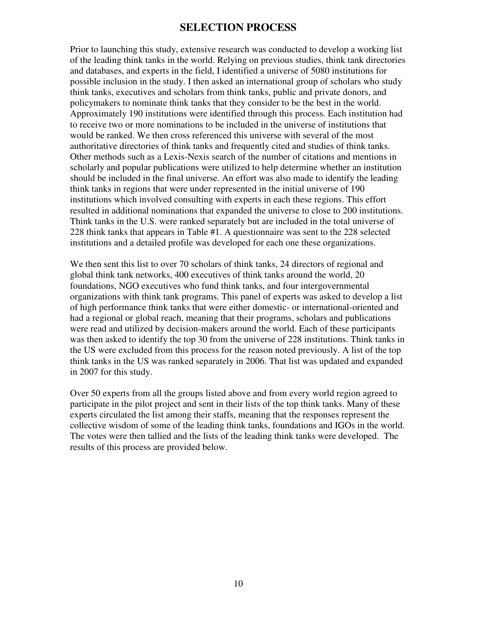### **SELECTION PROCESS**

Prior to launching this study, extensive research was conducted to develop a working list of the leading think tanks in the world. Relying on previous studies, think tank directories and databases, and experts in the field, I identified a universe of 5080 institutions for possible inclusion in the study. I then asked an international group of scholars who study think tanks, executives and scholars from think tanks, public and private donors, and policymakers to nominate think tanks that they consider to be the best in the world. Approximately 190 institutions were identified through this process. Each institution had to receive two or more nominations to be included in the universe of institutions that would be ranked. We then cross referenced this universe with several of the most authoritative directories of think tanks and frequently cited and studies of think tanks. Other methods such as a Lexis-Nexis search of the number of citations and mentions in scholarly and popular publications were utilized to help determine whether an institution should be included in the final universe. An effort was also made to identify the leading think tanks in regions that were under represented in the initial universe of 190 institutions which involved consulting with experts in each these regions. This effort resulted in additional nominations that expanded the universe to close to 200 institutions. Think tanks in the U.S. were ranked separately but are included in the total universe of 228 think tanks that appears in Table #1. A questionnaire was sent to the 228 selected institutions and a detailed profile was developed for each one these organizations.

We then sent this list to over 70 scholars of think tanks, 24 directors of regional and global think tank networks, 400 executives of think tanks around the world, 20 foundations, NGO executives who fund think tanks, and four intergovernmental organizations with think tank programs. This panel of experts was asked to develop a list of high performance think tanks that were either domestic- or international-oriented and had a regional or global reach, meaning that their programs, scholars and publications were read and utilized by decision-makers around the world. Each of these participants was then asked to identify the top 30 from the universe of 228 institutions. Think tanks in the US were excluded from this process for the reason noted previously. A list of the top think tanks in the US was ranked separately in 2006. That list was updated and expanded in 2007 for this study.

Over 50 experts from all the groups listed above and from every world region agreed to participate in the pilot project and sent in their lists of the top think tanks. Many of these experts circulated the list among their staffs, meaning that the responses represent the collective wisdom of some of the leading think tanks, foundations and IGOs in the world. The votes were then tallied and the lists of the leading think tanks were developed. The results of this process are provided below.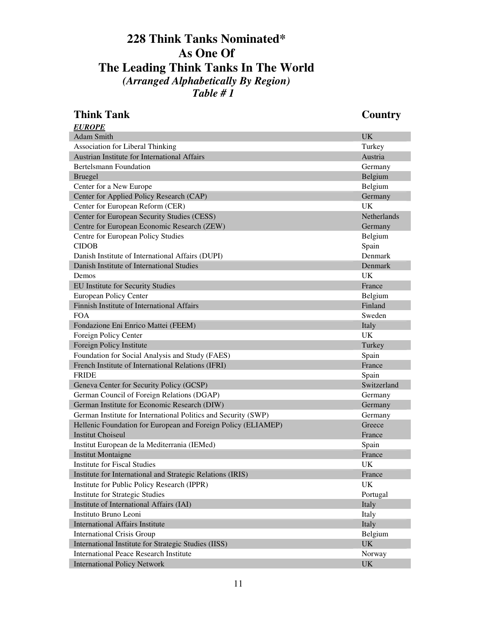### **228 Think Tanks Nominated\* As One Of The Leading Think Tanks In The World** *(Arranged Alphabetically By Region) Table # 1*

| <b>Think Tank</b>                                              | <b>Country</b> |
|----------------------------------------------------------------|----------------|
| <b>EUROPE</b>                                                  |                |
| <b>Adam Smith</b>                                              | <b>UK</b>      |
| Association for Liberal Thinking                               | Turkey         |
| Austrian Institute for International Affairs                   | Austria        |
| <b>Bertelsmann Foundation</b>                                  | Germany        |
| <b>Bruegel</b>                                                 | Belgium        |
| Center for a New Europe                                        | Belgium        |
| Center for Applied Policy Research (CAP)                       | Germany        |
| Center for European Reform (CER)                               | <b>UK</b>      |
| Center for European Security Studies (CESS)                    | Netherlands    |
| Centre for European Economic Research (ZEW)                    | Germany        |
| Centre for European Policy Studies                             | Belgium        |
| <b>CIDOB</b>                                                   | Spain          |
| Danish Institute of International Affairs (DUPI)               | Denmark        |
| Danish Institute of International Studies                      | Denmark        |
| Demos                                                          | UK             |
| EU Institute for Security Studies                              | France         |
| <b>European Policy Center</b>                                  | Belgium        |
| Finnish Institute of International Affairs                     | Finland        |
| <b>FOA</b>                                                     | Sweden         |
| Fondazione Eni Enrico Mattei (FEEM)                            | Italy          |
| Foreign Policy Center                                          | UK             |
| Foreign Policy Institute                                       | Turkey         |
| Foundation for Social Analysis and Study (FAES)                | Spain          |
| French Institute of International Relations (IFRI)             | France         |
| <b>FRIDE</b>                                                   | Spain          |
| Geneva Center for Security Policy (GCSP)                       | Switzerland    |
| German Council of Foreign Relations (DGAP)                     | Germany        |
| German Institute for Economic Research (DIW)                   | Germany        |
| German Institute for International Politics and Security (SWP) | Germany        |
| Hellenic Foundation for European and Foreign Policy (ELIAMEP)  | Greece         |
| <b>Institut Choiseul</b>                                       | France         |
| Institut European de la Mediterrania (IEMed)                   | Spain          |
| <b>Institut Montaigne</b>                                      | France         |
| <b>Institute for Fiscal Studies</b>                            | UK             |
| Institute for International and Strategic Relations (IRIS)     | France         |
| Institute for Public Policy Research (IPPR)                    | UK             |
| <b>Institute for Strategic Studies</b>                         | Portugal       |
| Institute of International Affairs (IAI)                       | Italy          |
| Instituto Bruno Leoni                                          | Italy          |
| <b>International Affairs Institute</b>                         | Italy          |
| <b>International Crisis Group</b>                              | Belgium        |
| International Institute for Strategic Studies (IISS)           | <b>UK</b>      |
| <b>International Peace Research Institute</b>                  | Norway         |
| <b>International Policy Network</b>                            | <b>UK</b>      |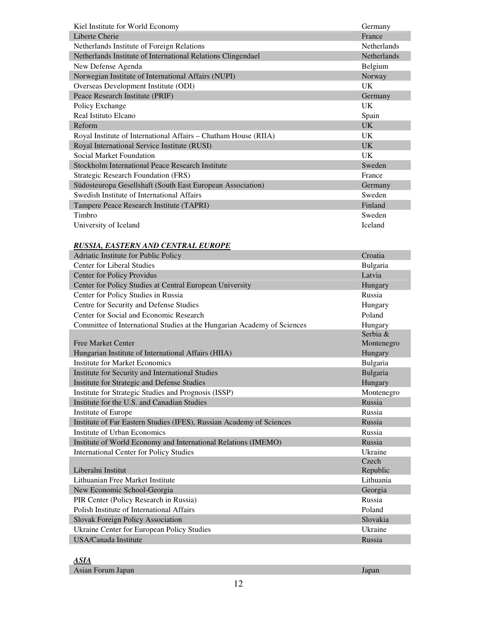| Kiel Institute for World Economy                                | Germany            |
|-----------------------------------------------------------------|--------------------|
| Liberte Cherie                                                  | France             |
| Netherlands Institute of Foreign Relations                      | <b>Netherlands</b> |
| Netherlands Institute of International Relations Clingendael    | <b>Netherlands</b> |
| New Defense Agenda                                              | Belgium            |
| Norwegian Institute of International Affairs (NUPI)             | Norway             |
| Overseas Development Institute (ODI)                            | <b>UK</b>          |
| Peace Research Institute (PRIF)                                 | Germany            |
| Policy Exchange                                                 | <b>UK</b>          |
| Real Istituto Elcano                                            | Spain              |
| Reform                                                          | UK.                |
| Royal Institute of International Affairs – Chatham House (RIIA) | <b>UK</b>          |
| Royal International Service Institute (RUSI)                    | <b>UK</b>          |
| Social Market Foundation                                        | <b>UK</b>          |
| Stockholm International Peace Research Institute                | Sweden             |
| Strategic Research Foundation (FRS)                             | France             |
| Südosteuropa Gesellshaft (South East European Association)      | Germany            |
| Swedish Institute of International Affairs                      | Sweden             |
| Tampere Peace Research Institute (TAPRI)                        | Finland            |
| <b>Timbro</b>                                                   | Sweden             |
| University of Iceland                                           | <b>Iceland</b>     |

#### *RUSSIA, EASTERN AND CENTRAL EUROPE*

| Adriatic Institute for Public Policy                                    | Croatia    |
|-------------------------------------------------------------------------|------------|
| <b>Center for Liberal Studies</b>                                       | Bulgaria   |
| <b>Center for Policy Providus</b>                                       | Latvia     |
| Center for Policy Studies at Central European University                | Hungary    |
| Center for Policy Studies in Russia                                     | Russia     |
| Centre for Security and Defense Studies                                 | Hungary    |
| Center for Social and Economic Research                                 | Poland     |
| Committee of International Studies at the Hungarian Academy of Sciences | Hungary    |
|                                                                         | Serbia &   |
| <b>Free Market Center</b>                                               | Montenegro |
| Hungarian Institute of International Affairs (HIIA)                     | Hungary    |
| <b>Institute for Market Economics</b>                                   | Bulgaria   |
| Institute for Security and International Studies                        | Bulgaria   |
| Institute for Strategic and Defense Studies                             | Hungary    |
| Institute for Strategic Studies and Prognosis (ISSP)                    | Montenegro |
| Institute for the U.S. and Canadian Studies                             | Russia     |
| Institute of Europe                                                     | Russia     |
| Institute of Far Eastern Studies (IFES), Russian Academy of Sciences    | Russia     |
| Institute of Urban Economics                                            | Russia     |
| Institute of World Economy and International Relations (IMEMO)          | Russia     |
| <b>International Center for Policy Studies</b>                          | Ukraine    |
|                                                                         | Czech      |
| Liberalni Institut                                                      | Republic   |
| Lithuanian Free Market Institute                                        | Lithuania  |
| New Economic School-Georgia                                             | Georgia    |
| PIR Center (Policy Research in Russia)                                  | Russia     |
| Polish Institute of International Affairs                               | Poland     |
| <b>Slovak Foreign Policy Association</b>                                | Slovakia   |
| Ukraine Center for European Policy Studies                              | Ukraine    |
| USA/Canada Institute                                                    | Russia     |

#### *ASIA* **Asian Forum Japan** Japan Japan Japan Japan Japan Japan Japan Japan Japan Japan Japan Japan Japan Japan Japan Japan Japan Japan Japan Japan Japan Japan Japan Japan Japan Japan Japan Japan Japan Japan Japan Japan Japan Japa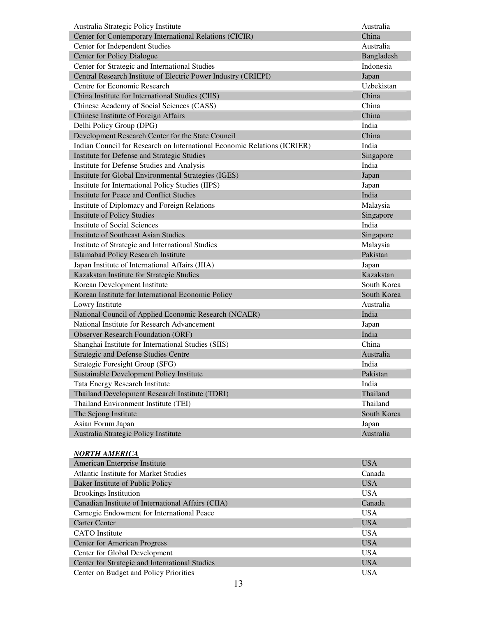| Australia Strategic Policy Institute                                     | Australia   |
|--------------------------------------------------------------------------|-------------|
| Center for Contemporary International Relations (CICIR)                  | China       |
| Center for Independent Studies                                           | Australia   |
| Center for Policy Dialogue                                               | Bangladesh  |
| Center for Strategic and International Studies                           | Indonesia   |
| Central Research Institute of Electric Power Industry (CRIEPI)           | Japan       |
| Centre for Economic Research                                             | Uzbekistan  |
| China Institute for International Studies (CIIS)                         | China       |
| Chinese Academy of Social Sciences (CASS)                                | China       |
| Chinese Institute of Foreign Affairs                                     | China       |
| Delhi Policy Group (DPG)                                                 | India       |
| Development Research Center for the State Council                        | China       |
| Indian Council for Research on International Economic Relations (ICRIER) | India       |
| Institute for Defense and Strategic Studies                              | Singapore   |
| Institute for Defense Studies and Analysis                               | India       |
| Institute for Global Environmental Strategies (IGES)                     | Japan       |
| Institute for International Policy Studies (IIPS)                        | Japan       |
| <b>Institute for Peace and Conflict Studies</b>                          | India       |
| Institute of Diplomacy and Foreign Relations                             | Malaysia    |
| <b>Institute of Policy Studies</b>                                       | Singapore   |
| <b>Institute of Social Sciences</b>                                      | India       |
| <b>Institute of Southeast Asian Studies</b>                              | Singapore   |
| Institute of Strategic and International Studies                         | Malaysia    |
| Islamabad Policy Research Institute                                      | Pakistan    |
| Japan Institute of International Affairs (JIIA)                          | Japan       |
| Kazakstan Institute for Strategic Studies                                | Kazakstan   |
| Korean Development Institute                                             | South Korea |
| Korean Institute for International Economic Policy                       | South Korea |
| Lowry Institute                                                          | Australia   |
| National Council of Applied Economic Research (NCAER)                    | India       |
| National Institute for Research Advancement                              | Japan       |
| <b>Observer Research Foundation (ORF)</b>                                | India       |
| Shanghai Institute for International Studies (SIIS)                      | China       |
| <b>Strategic and Defense Studies Centre</b>                              | Australia   |
| Strategic Foresight Group (SFG)                                          | India       |
| Sustainable Development Policy Institute                                 | Pakistan    |
| Tata Energy Research Institute                                           | India       |
| Thailand Development Research Institute (TDRI)                           | Thailand    |
| Thailand Environment Institute (TEI)                                     | Thailand    |
| The Sejong Institute                                                     | South Korea |
| Asian Forum Japan                                                        | Japan       |
| Australia Strategic Policy Institute                                     | Australia   |

#### *NORTH AMERICA*

| American Enterprise Institute                      | <b>USA</b> |
|----------------------------------------------------|------------|
| Atlantic Institute for Market Studies              | Canada     |
| Baker Institute of Public Policy                   | <b>USA</b> |
| <b>Brookings Institution</b>                       | <b>USA</b> |
| Canadian Institute of International Affairs (CIIA) | Canada     |
| Carnegie Endowment for International Peace         | <b>USA</b> |
| <b>Carter Center</b>                               | <b>USA</b> |
| <b>CATO</b> Institute                              | <b>USA</b> |
| <b>Center for American Progress</b>                | <b>USA</b> |
| Center for Global Development                      | <b>USA</b> |
| Center for Strategic and International Studies     | <b>USA</b> |
| Center on Budget and Policy Priorities             | <b>USA</b> |
|                                                    |            |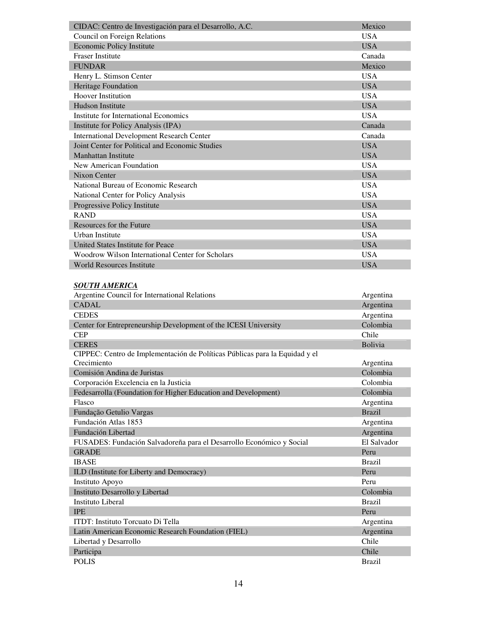| CIDAC: Centro de Investigación para el Desarrollo, A.C. | Mexico     |
|---------------------------------------------------------|------------|
| Council on Foreign Relations                            | <b>USA</b> |
| <b>Economic Policy Institute</b>                        | <b>USA</b> |
| <b>Fraser Institute</b>                                 | Canada     |
| <b>FUNDAR</b>                                           | Mexico     |
| Henry L. Stimson Center                                 | <b>USA</b> |
| Heritage Foundation                                     | <b>USA</b> |
| Hoover Institution                                      | <b>USA</b> |
| Hudson Institute                                        | <b>USA</b> |
| Institute for International Economics                   | <b>USA</b> |
| Institute for Policy Analysis (IPA)                     | Canada     |
| <b>International Development Research Center</b>        | Canada     |
| Joint Center for Political and Economic Studies         | <b>USA</b> |
| <b>Manhattan Institute</b>                              | <b>USA</b> |
| New American Foundation                                 | <b>USA</b> |
| Nixon Center                                            | <b>USA</b> |
| National Bureau of Economic Research                    | <b>USA</b> |
| National Center for Policy Analysis                     | <b>USA</b> |
| Progressive Policy Institute                            | <b>USA</b> |
| <b>RAND</b>                                             | <b>USA</b> |
| Resources for the Future                                | <b>USA</b> |
| Urban Institute                                         | <b>USA</b> |
| United States Institute for Peace                       | <b>USA</b> |
| Woodrow Wilson International Center for Scholars        | <b>USA</b> |
| <b>World Resources Institute</b>                        | <b>USA</b> |

#### *SOUTH AMERICA*

| Argentine Council for International Relations                               | Argentina     |
|-----------------------------------------------------------------------------|---------------|
| CADAL                                                                       | Argentina     |
| <b>CEDES</b>                                                                | Argentina     |
| Center for Entrepreneurship Development of the ICESI University             | Colombia      |
| <b>CEP</b>                                                                  | Chile         |
| <b>CERES</b>                                                                | Bolivia       |
| CIPPEC: Centro de Implementación de Políticas Públicas para la Equidad y el |               |
| Crecimiento                                                                 | Argentina     |
| Comisión Andina de Juristas                                                 | Colombia      |
| Corporación Excelencia en la Justicia                                       | Colombia      |
| Fedesarrolla (Foundation for Higher Education and Development)              | Colombia      |
| Flasco                                                                      | Argentina     |
| Fundação Getulio Vargas                                                     | <b>Brazil</b> |
| Fundación Atlas 1853                                                        | Argentina     |
| Fundación Libertad                                                          | Argentina     |
| FUSADES: Fundación Salvadoreña para el Desarrollo Económico y Social        | El Salvador   |
| <b>GRADE</b>                                                                | Peru          |
| <b>IBASE</b>                                                                | <b>Brazil</b> |
| ILD (Institute for Liberty and Democracy)                                   | Peru          |
| Instituto Apoyo                                                             | Peru          |
| Instituto Desarrollo y Libertad                                             | Colombia      |
| <b>Instituto Liberal</b>                                                    | <b>Brazil</b> |
| <b>IPE</b>                                                                  | Peru          |
| ITDT: Instituto Torcuato Di Tella                                           | Argentina     |
| Latin American Economic Research Foundation (FIEL)                          | Argentina     |
| Libertad y Desarrollo                                                       | Chile         |
| Participa                                                                   | Chile         |
| <b>POLIS</b>                                                                | <b>Brazil</b> |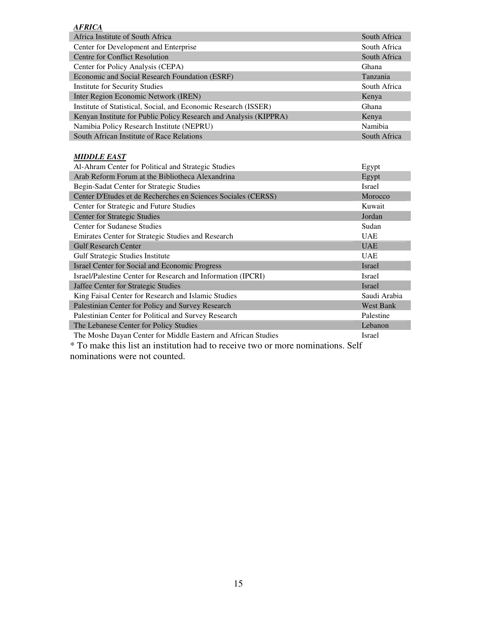| <b>AFRICA</b>                                                     |                |
|-------------------------------------------------------------------|----------------|
| Africa Institute of South Africa                                  | South Africa   |
| Center for Development and Enterprise                             | South Africa   |
| Centre for Conflict Resolution                                    | South Africa   |
| Center for Policy Analysis (CEPA)                                 | Ghana          |
| Economic and Social Research Foundation (ESRF)                    | Tanzania       |
| <b>Institute for Security Studies</b>                             | South Africa   |
| Inter Region Economic Network (IREN)                              | Kenya          |
| Institute of Statistical, Social, and Economic Research (ISSER)   | Ghana          |
| Kenyan Institute for Public Policy Research and Analysis (KIPPRA) | Kenya          |
| Namibia Policy Research Institute (NEPRU)                         | <b>Namibia</b> |
| South African Institute of Race Relations                         | South Africa   |

#### *MIDDLE EAST*

| Al-Ahram Center for Political and Strategic Studies                             | Egypt            |  |  |
|---------------------------------------------------------------------------------|------------------|--|--|
| Arab Reform Forum at the Bibliotheca Alexandrina                                | Egypt            |  |  |
| Begin-Sadat Center for Strategic Studies                                        | Israel           |  |  |
| Center D'Etudes et de Recherches en Sciences Sociales (CERSS)                   | Morocco          |  |  |
| Center for Strategic and Future Studies                                         | Kuwait           |  |  |
| <b>Center for Strategic Studies</b>                                             | Jordan           |  |  |
| <b>Center for Sudanese Studies</b>                                              | Sudan            |  |  |
| Emirates Center for Strategic Studies and Research                              | <b>UAE</b>       |  |  |
| <b>Gulf Research Center</b>                                                     | <b>UAE</b>       |  |  |
| <b>Gulf Strategic Studies Institute</b>                                         | <b>UAE</b>       |  |  |
| Israel Center for Social and Economic Progress                                  | Israel           |  |  |
| Israel/Palestine Center for Research and Information (IPCRI)                    | Israel           |  |  |
| Jaffee Center for Strategic Studies                                             | Israel           |  |  |
| King Faisal Center for Research and Islamic Studies                             | Saudi Arabia     |  |  |
| Palestinian Center for Policy and Survey Research                               | <b>West Bank</b> |  |  |
| Palestinian Center for Political and Survey Research                            | Palestine        |  |  |
| The Lebanese Center for Policy Studies                                          | Lebanon          |  |  |
| The Moshe Dayan Center for Middle Eastern and African Studies                   | Israel           |  |  |
| * To make this list an institution had to receive two or more nominations. Self |                  |  |  |

nominations were not counted.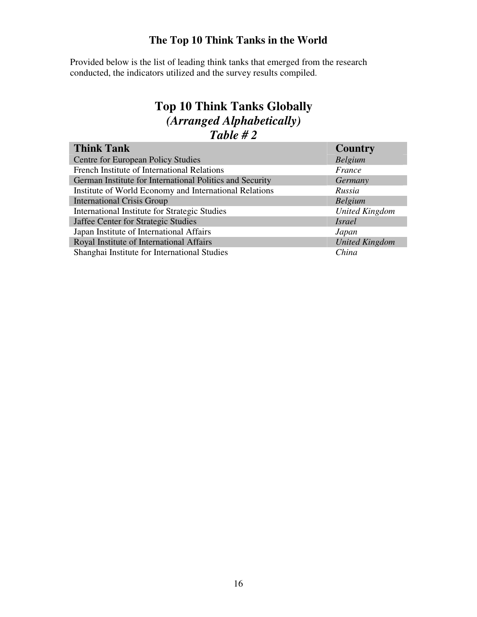### **The Top 10 Think Tanks in the World**

Provided below is the list of leading think tanks that emerged from the research conducted, the indicators utilized and the survey results compiled.

### **Top 10 Think Tanks Globally** *(Arranged Alphabetically) Table # 2*

| <b>Think Tank</b>                                        | <b>Country</b>        |
|----------------------------------------------------------|-----------------------|
| Centre for European Policy Studies                       | Belgium               |
| French Institute of International Relations              | France                |
| German Institute for International Politics and Security | Germany               |
| Institute of World Economy and International Relations   | Russia                |
| <b>International Crisis Group</b>                        | <b>Belgium</b>        |
| International Institute for Strategic Studies            | <b>United Kingdom</b> |
| Jaffee Center for Strategic Studies                      | <i>Israel</i>         |
| Japan Institute of International Affairs                 | Japan                 |
| Royal Institute of International Affairs                 | <b>United Kingdom</b> |
| Shanghai Institute for International Studies             | China                 |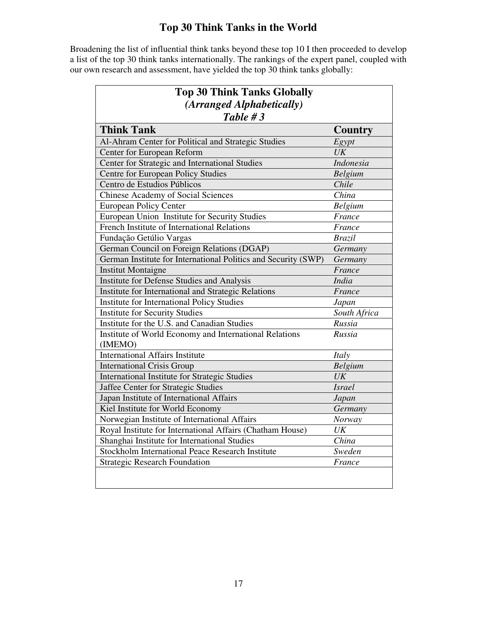## **Top 30 Think Tanks in the World**

Broadening the list of influential think tanks beyond these top 10 I then proceeded to develop a list of the top 30 think tanks internationally. The rankings of the expert panel, coupled with our own research and assessment, have yielded the top 30 think tanks globally:

| <b>Top 30 Think Tanks Globally</b>                                |                  |  |
|-------------------------------------------------------------------|------------------|--|
| (Arranged Alphabetically)                                         |                  |  |
| Table $#3$                                                        |                  |  |
| <b>Think Tank</b>                                                 | <b>Country</b>   |  |
| Al-Ahram Center for Political and Strategic Studies               | Egypt            |  |
| Center for European Reform                                        | UK               |  |
| Center for Strategic and International Studies                    | <b>Indonesia</b> |  |
| Centre for European Policy Studies                                | <b>Belgium</b>   |  |
| Centro de Estudios Públicos                                       | Chile            |  |
| <b>Chinese Academy of Social Sciences</b>                         | China            |  |
| <b>European Policy Center</b>                                     | <b>Belgium</b>   |  |
| European Union Institute for Security Studies                     | France           |  |
| French Institute of International Relations                       | France           |  |
| Fundação Getúlio Vargas                                           | <b>Brazil</b>    |  |
| German Council on Foreign Relations (DGAP)                        | Germany          |  |
| German Institute for International Politics and Security (SWP)    | Germany          |  |
| <b>Institut Montaigne</b>                                         | France           |  |
| <b>Institute for Defense Studies and Analysis</b>                 | <b>India</b>     |  |
| Institute for International and Strategic Relations               | France           |  |
| <b>Institute for International Policy Studies</b>                 | Japan            |  |
| <b>Institute for Security Studies</b>                             | South Africa     |  |
| Institute for the U.S. and Canadian Studies                       | Russia           |  |
| Institute of World Economy and International Relations<br>(IMEMO) | Russia           |  |
| <b>International Affairs Institute</b>                            | Italy            |  |
| <b>International Crisis Group</b>                                 | Belgium          |  |
| <b>International Institute for Strategic Studies</b>              | UK               |  |
| Jaffee Center for Strategic Studies                               | <b>Israel</b>    |  |
| Japan Institute of International Affairs                          | Japan            |  |
| Kiel Institute for World Economy                                  | Germany          |  |
| Norwegian Institute of International Affairs                      | Norway           |  |
| Royal Institute for International Affairs (Chatham House)         | UK               |  |
| Shanghai Institute for International Studies                      | China            |  |
| Stockholm International Peace Research Institute                  | Sweden           |  |
| <b>Strategic Research Foundation</b>                              | France           |  |
|                                                                   |                  |  |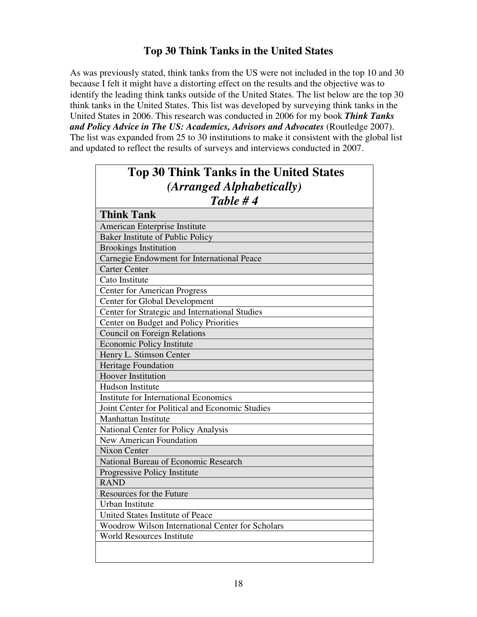### **Top 30 Think Tanks in the United States**

As was previously stated, think tanks from the US were not included in the top 10 and 30 because I felt it might have a distorting effect on the results and the objective was to identify the leading think tanks outside of the United States. The list below are the top 30 think tanks in the United States. This list was developed by surveying think tanks in the United States in 2006. This research was conducted in 2006 for my book *Think Tanks and Policy Advice in The US: Academics, Advisors and Advocates* (Routledge 2007). The list was expanded from 25 to 30 institutions to make it consistent with the global list and updated to reflect the results of surveys and interviews conducted in 2007.

| <b>Top 30 Think Tanks in the United States</b><br>(Arranged Alphabetically) |  |  |
|-----------------------------------------------------------------------------|--|--|
| Table #4                                                                    |  |  |
| <b>Think Tank</b>                                                           |  |  |
| American Enterprise Institute                                               |  |  |
| Baker Institute of Public Policy                                            |  |  |
| <b>Brookings Institution</b>                                                |  |  |
| Carnegie Endowment for International Peace                                  |  |  |
| <b>Carter Center</b>                                                        |  |  |
| Cato Institute                                                              |  |  |
| <b>Center for American Progress</b>                                         |  |  |
| <b>Center for Global Development</b>                                        |  |  |
| Center for Strategic and International Studies                              |  |  |
| Center on Budget and Policy Priorities                                      |  |  |
| <b>Council on Foreign Relations</b>                                         |  |  |
| <b>Economic Policy Institute</b>                                            |  |  |
| Henry L. Stimson Center                                                     |  |  |
| <b>Heritage Foundation</b>                                                  |  |  |
| <b>Hoover Institution</b>                                                   |  |  |
| <b>Hudson Institute</b>                                                     |  |  |
| <b>Institute for International Economics</b>                                |  |  |
| Joint Center for Political and Economic Studies                             |  |  |
| <b>Manhattan Institute</b>                                                  |  |  |
| National Center for Policy Analysis                                         |  |  |
| <b>New American Foundation</b>                                              |  |  |
| <b>Nixon Center</b>                                                         |  |  |
| National Bureau of Economic Research                                        |  |  |
| Progressive Policy Institute                                                |  |  |
| <b>RAND</b>                                                                 |  |  |
| Resources for the Future                                                    |  |  |
| <b>Urban Institute</b>                                                      |  |  |
| United States Institute of Peace                                            |  |  |
| Woodrow Wilson International Center for Scholars                            |  |  |
| <b>World Resources Institute</b>                                            |  |  |
|                                                                             |  |  |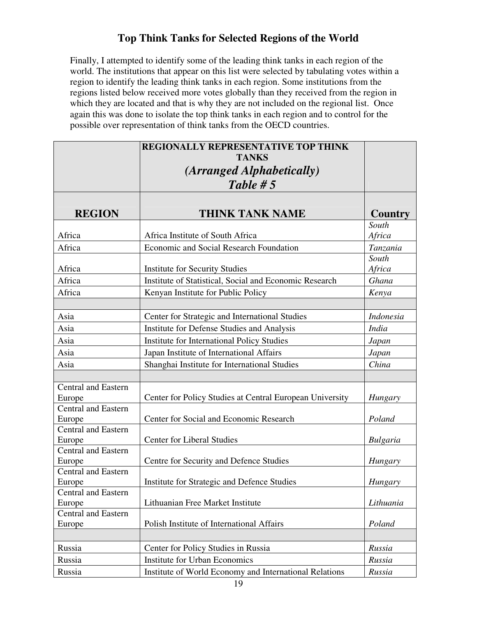### **Top Think Tanks for Selected Regions of the World**

Finally, I attempted to identify some of the leading think tanks in each region of the world. The institutions that appear on this list were selected by tabulating votes within a region to identify the leading think tanks in each region. Some institutions from the regions listed below received more votes globally than they received from the region in which they are located and that is why they are not included on the regional list. Once again this was done to isolate the top think tanks in each region and to control for the possible over representation of think tanks from the OECD countries.

|                                      | REGIONALLY REPRESENTATIVE TOP THINK                      |                         |
|--------------------------------------|----------------------------------------------------------|-------------------------|
|                                      | <b>TANKS</b>                                             |                         |
|                                      | (Arranged Alphabetically)                                |                         |
|                                      | Table # $5$                                              |                         |
|                                      |                                                          |                         |
|                                      |                                                          |                         |
| <b>REGION</b>                        | <b>THINK TANK NAME</b>                                   | <b>Country</b><br>South |
| Africa                               | Africa Institute of South Africa                         | Africa                  |
| Africa                               | <b>Economic and Social Research Foundation</b>           | Tanzania                |
|                                      |                                                          | South                   |
| Africa                               | <b>Institute for Security Studies</b>                    | Africa                  |
| Africa                               | Institute of Statistical, Social and Economic Research   | Ghana                   |
| Africa                               | Kenyan Institute for Public Policy                       | Kenya                   |
|                                      |                                                          |                         |
| Asia                                 | Center for Strategic and International Studies           | <b>Indonesia</b>        |
| Asia                                 | <b>Institute for Defense Studies and Analysis</b>        | <b>India</b>            |
| Asia                                 | <b>Institute for International Policy Studies</b>        | Japan                   |
| Asia                                 | Japan Institute of International Affairs                 | Japan                   |
| Asia                                 | Shanghai Institute for International Studies             | China                   |
|                                      |                                                          |                         |
| <b>Central and Eastern</b>           |                                                          |                         |
| Europe                               | Center for Policy Studies at Central European University | Hungary                 |
| <b>Central and Eastern</b>           |                                                          |                         |
| Europe                               | Center for Social and Economic Research                  | Poland                  |
| Central and Eastern                  |                                                          |                         |
| Europe                               | <b>Center for Liberal Studies</b>                        | <b>Bulgaria</b>         |
| Central and Eastern                  |                                                          |                         |
| Europe<br><b>Central and Eastern</b> | Centre for Security and Defence Studies                  | Hungary                 |
|                                      | Institute for Strategic and Defence Studies              | Hungary                 |
| Europe<br>Central and Eastern        |                                                          |                         |
| Europe                               | Lithuanian Free Market Institute                         | Lithuania               |
| <b>Central and Eastern</b>           |                                                          |                         |
| Europe                               | Polish Institute of International Affairs                | Poland                  |
|                                      |                                                          |                         |
| Russia                               | Center for Policy Studies in Russia                      | Russia                  |
| Russia                               | <b>Institute for Urban Economics</b>                     | Russia                  |
| Russia                               | Institute of World Economy and International Relations   | Russia                  |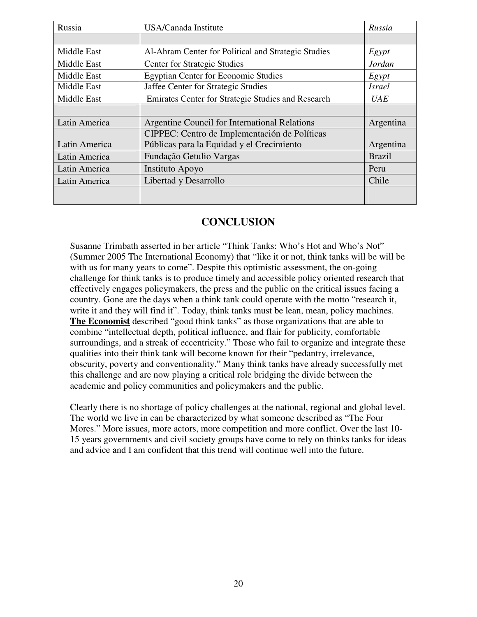| Russia        | USA/Canada Institute                                | Russia        |
|---------------|-----------------------------------------------------|---------------|
|               |                                                     |               |
| Middle East   | Al-Ahram Center for Political and Strategic Studies | Egypt         |
| Middle East   | <b>Center for Strategic Studies</b>                 | Jordan        |
| Middle East   | <b>Egyptian Center for Economic Studies</b>         | Egypt         |
| Middle East   | Jaffee Center for Strategic Studies                 | <b>Israel</b> |
| Middle East   | Emirates Center for Strategic Studies and Research  | <b>UAE</b>    |
|               |                                                     |               |
| Latin America | Argentine Council for International Relations       | Argentina     |
|               | CIPPEC: Centro de Implementación de Políticas       |               |
| Latin America | Públicas para la Equidad y el Crecimiento           | Argentina     |
| Latin America | Fundação Getulio Vargas                             | <b>Brazil</b> |
| Latin America | Instituto Apoyo                                     | Peru          |
| Latin America | Libertad y Desarrollo                               | Chile         |
|               |                                                     |               |
|               |                                                     |               |

### **CONCLUSION**

Susanne Trimbath asserted in her article "Think Tanks: Who's Hot and Who's Not" (Summer 2005 The International Economy) that "like it or not, think tanks will be will be with us for many years to come". Despite this optimistic assessment, the on-going challenge for think tanks is to produce timely and accessible policy oriented research that effectively engages policymakers, the press and the public on the critical issues facing a country. Gone are the days when a think tank could operate with the motto "research it, write it and they will find it". Today, think tanks must be lean, mean, policy machines. **The Economist** described "good think tanks" as those organizations that are able to combine "intellectual depth, political influence, and flair for publicity, comfortable surroundings, and a streak of eccentricity." Those who fail to organize and integrate these qualities into their think tank will become known for their "pedantry, irrelevance, obscurity, poverty and conventionality." Many think tanks have already successfully met this challenge and are now playing a critical role bridging the divide between the academic and policy communities and policymakers and the public.

Clearly there is no shortage of policy challenges at the national, regional and global level. The world we live in can be characterized by what someone described as "The Four Mores." More issues, more actors, more competition and more conflict. Over the last 10- 15 years governments and civil society groups have come to rely on thinks tanks for ideas and advice and I am confident that this trend will continue well into the future.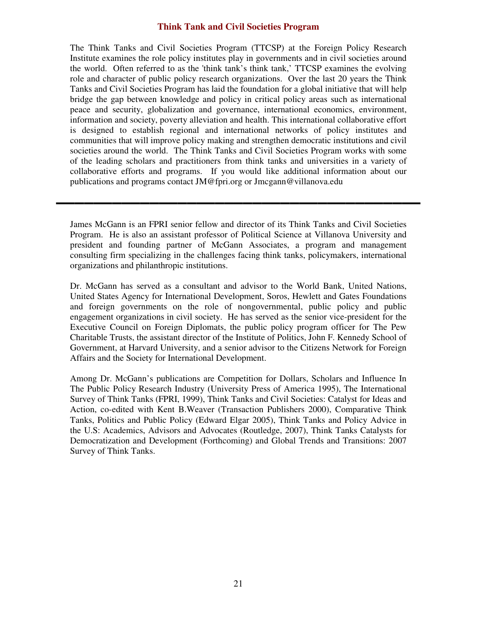#### **Think Tank and Civil Societies Program**

The Think Tanks and Civil Societies Program (TTCSP) at the Foreign Policy Research Institute examines the role policy institutes play in governments and in civil societies around the world. Often referred to as the 'think tank's think tank,' TTCSP examines the evolving role and character of public policy research organizations. Over the last 20 years the Think Tanks and Civil Societies Program has laid the foundation for a global initiative that will help bridge the gap between knowledge and policy in critical policy areas such as international peace and security, globalization and governance, international economics, environment, information and society, poverty alleviation and health. This international collaborative effort is designed to establish regional and international networks of policy institutes and communities that will improve policy making and strengthen democratic institutions and civil societies around the world. The Think Tanks and Civil Societies Program works with some of the leading scholars and practitioners from think tanks and universities in a variety of collaborative efforts and programs. If you would like additional information about our publications and programs contact JM@fpri.org or Jmcgann@villanova.edu

James McGann is an FPRI senior fellow and director of its Think Tanks and Civil Societies Program. He is also an assistant professor of Political Science at Villanova University and president and founding partner of McGann Associates, a program and management consulting firm specializing in the challenges facing think tanks, policymakers, international organizations and philanthropic institutions.

Dr. McGann has served as a consultant and advisor to the World Bank, United Nations, United States Agency for International Development, Soros, Hewlett and Gates Foundations and foreign governments on the role of nongovernmental, public policy and public engagement organizations in civil society. He has served as the senior vice-president for the Executive Council on Foreign Diplomats, the public policy program officer for The Pew Charitable Trusts, the assistant director of the Institute of Politics, John F. Kennedy School of Government, at Harvard University, and a senior advisor to the Citizens Network for Foreign Affairs and the Society for International Development.

Among Dr. McGann's publications are Competition for Dollars, Scholars and Influence In The Public Policy Research Industry (University Press of America 1995), The International Survey of Think Tanks (FPRI, 1999), Think Tanks and Civil Societies: Catalyst for Ideas and Action, co-edited with Kent B.Weaver (Transaction Publishers 2000), Comparative Think Tanks, Politics and Public Policy (Edward Elgar 2005), Think Tanks and Policy Advice in the U.S: Academics, Advisors and Advocates (Routledge, 2007), Think Tanks Catalysts for Democratization and Development (Forthcoming) and Global Trends and Transitions: 2007 Survey of Think Tanks.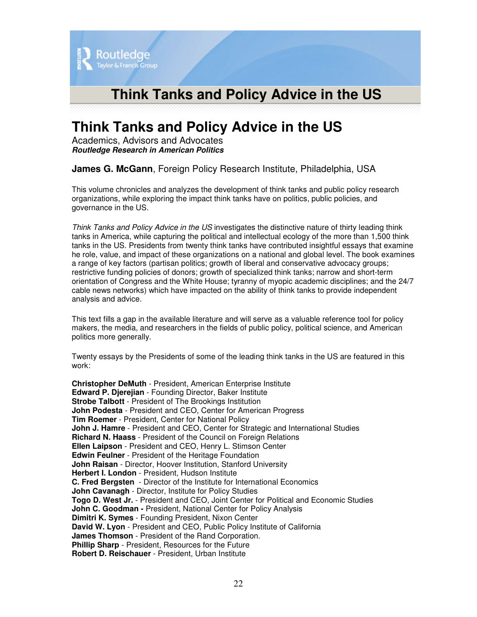

## **Think Tanks and Policy Advice in the US**

Academics, Advisors and Advocates *Routledge Research in American Politics*

**James G. McGann**, Foreign Policy Research Institute, Philadelphia, USA

This volume chronicles and analyzes the development of think tanks and public policy research organizations, while exploring the impact think tanks have on politics, public policies, and governance in the US.

*Think Tanks and Policy Advice in the US* investigates the distinctive nature of thirty leading think tanks in America, while capturing the political and intellectual ecology of the more than 1,500 think tanks in the US. Presidents from twenty think tanks have contributed insightful essays that examine he role, value, and impact of these organizations on a national and global level. The book examines a range of key factors (partisan politics; growth of liberal and conservative advocacy groups; restrictive funding policies of donors; growth of specialized think tanks; narrow and short-term orientation of Congress and the White House; tyranny of myopic academic disciplines; and the 24/7 cable news networks) which have impacted on the ability of think tanks to provide independent analysis and advice.

This text fills a gap in the available literature and will serve as a valuable reference tool for policy makers, the media, and researchers in the fields of public policy, political science, and American politics more generally.

Twenty essays by the Presidents of some of the leading think tanks in the US are featured in this work:

**Christopher DeMuth** - President, American Enterprise Institute **Edward P. Djerejian** - Founding Director, Baker Institute **Strobe Talbott** - President of The Brookings Institution **John Podesta** - President and CEO, Center for American Progress **Tim Roemer** - President, Center for National Policy **John J. Hamre** - President and CEO, Center for Strategic and International Studies **Richard N. Haass** - President of the Council on Foreign Relations **Ellen Laipson** - President and CEO, Henry L. Stimson Center **Edwin Feulner** - President of the Heritage Foundation **John Raisan** - Director, Hoover Institution, Stanford University **Herbert I. London** - President, Hudson Institute **C. Fred Bergsten** - Director of the Institute for International Economics **John Cavanagh** - Director, Institute for Policy Studies **Togo D. West Jr.** - President and CEO, Joint Center for Political and Economic Studies **John C. Goodman -** President, National Center for Policy Analysis **Dimitri K. Symes** - Founding President, Nixon Center **David W. Lyon** - President and CEO, Public Policy Institute of California **James Thomson** - President of the Rand Corporation. **Phillip Sharp** - President, Resources for the Future **Robert D. Reischauer** - President, Urban Institute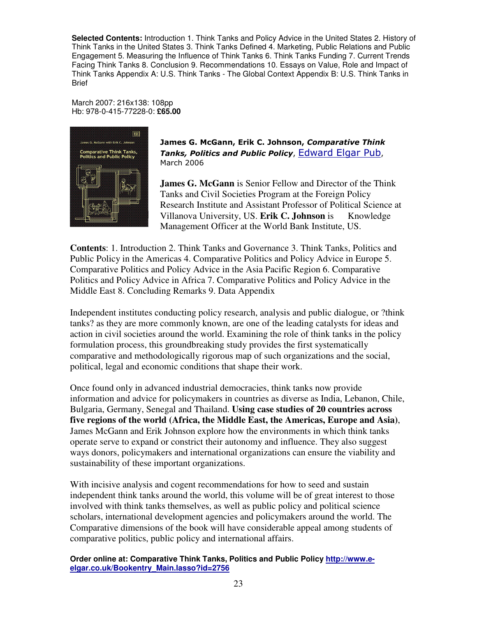**Selected Contents:** Introduction 1. Think Tanks and Policy Advice in the United States 2. History of Think Tanks in the United States 3. Think Tanks Defined 4. Marketing, Public Relations and Public Engagement 5. Measuring the Influence of Think Tanks 6. Think Tanks Funding 7. Current Trends Facing Think Tanks 8. Conclusion 9. Recommendations 10. Essays on Value, Role and Impact of Think Tanks Appendix A: U.S. Think Tanks - The Global Context Appendix B: U.S. Think Tanks in Brief

March 2007: 216x138: 108pp Hb: 978-0-415-77228-0: **£65.00**



James G. McGann, Erik C. Johnson, *Comparative Think* Tanks, Politics and Public Policy, **Edward Elgar Pub,** March 2006

**James G. McGann** is Senior Fellow and Director of the Think Tanks and Civil Societies Program at the Foreign Policy Research Institute and Assistant Professor of Political Science at Villanova University, US. **Erik C. Johnson** is Knowledge Management Officer at the World Bank Institute, US.

**Contents**: 1. Introduction 2. Think Tanks and Governance 3. Think Tanks, Politics and Public Policy in the Americas 4. Comparative Politics and Policy Advice in Europe 5. Comparative Politics and Policy Advice in the Asia Pacific Region 6. Comparative Politics and Policy Advice in Africa 7. Comparative Politics and Policy Advice in the Middle East 8. Concluding Remarks 9. Data Appendix

Independent institutes conducting policy research, analysis and public dialogue, or ?think tanks? as they are more commonly known, are one of the leading catalysts for ideas and action in civil societies around the world. Examining the role of think tanks in the policy formulation process, this groundbreaking study provides the first systematically comparative and methodologically rigorous map of such organizations and the social, political, legal and economic conditions that shape their work.

Once found only in advanced industrial democracies, think tanks now provide information and advice for policymakers in countries as diverse as India, Lebanon, Chile, Bulgaria, Germany, Senegal and Thailand. **Using case studies of 20 countries across five regions of the world (Africa, the Middle East, the Americas, Europe and Asia)**, James McGann and Erik Johnson explore how the environments in which think tanks operate serve to expand or constrict their autonomy and influence. They also suggest ways donors, policymakers and international organizations can ensure the viability and sustainability of these important organizations.

With incisive analysis and cogent recommendations for how to seed and sustain independent think tanks around the world, this volume will be of great interest to those involved with think tanks themselves, as well as public policy and political science scholars, international development agencies and policymakers around the world. The Comparative dimensions of the book will have considerable appeal among students of comparative politics, public policy and international affairs.

**Order online at: Comparative Think Tanks, Politics and Public Policy http://www.eelgar.co.uk/Bookentry\_Main.lasso?id=2756**